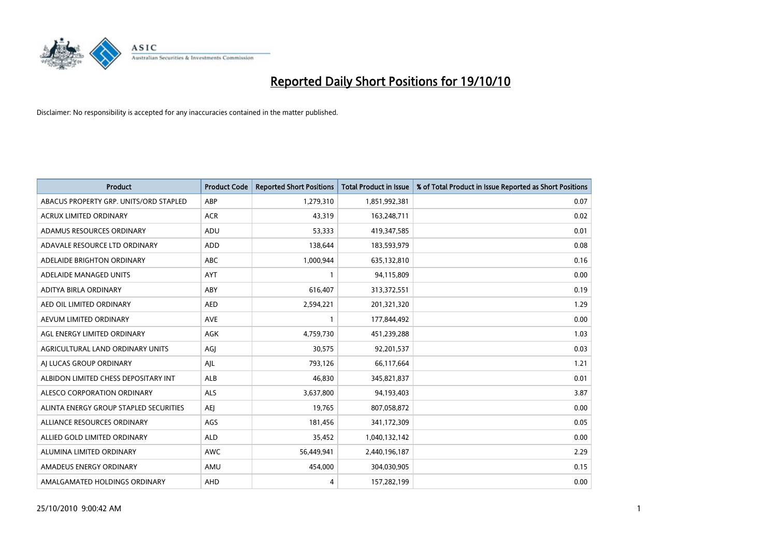

| <b>Product</b>                         | <b>Product Code</b> | <b>Reported Short Positions</b> | <b>Total Product in Issue</b> | % of Total Product in Issue Reported as Short Positions |
|----------------------------------------|---------------------|---------------------------------|-------------------------------|---------------------------------------------------------|
| ABACUS PROPERTY GRP. UNITS/ORD STAPLED | ABP                 | 1,279,310                       | 1,851,992,381                 | 0.07                                                    |
| ACRUX LIMITED ORDINARY                 | <b>ACR</b>          | 43,319                          | 163,248,711                   | 0.02                                                    |
| ADAMUS RESOURCES ORDINARY              | <b>ADU</b>          | 53,333                          | 419,347,585                   | 0.01                                                    |
| ADAVALE RESOURCE LTD ORDINARY          | ADD                 | 138,644                         | 183,593,979                   | 0.08                                                    |
| ADELAIDE BRIGHTON ORDINARY             | <b>ABC</b>          | 1,000,944                       | 635,132,810                   | 0.16                                                    |
| ADELAIDE MANAGED UNITS                 | AYT                 |                                 | 94,115,809                    | 0.00                                                    |
| ADITYA BIRLA ORDINARY                  | ABY                 | 616.407                         | 313,372,551                   | 0.19                                                    |
| AED OIL LIMITED ORDINARY               | <b>AED</b>          | 2,594,221                       | 201,321,320                   | 1.29                                                    |
| AEVUM LIMITED ORDINARY                 | <b>AVE</b>          |                                 | 177,844,492                   | 0.00                                                    |
| AGL ENERGY LIMITED ORDINARY            | <b>AGK</b>          | 4,759,730                       | 451,239,288                   | 1.03                                                    |
| AGRICULTURAL LAND ORDINARY UNITS       | AGJ                 | 30,575                          | 92,201,537                    | 0.03                                                    |
| AI LUCAS GROUP ORDINARY                | AJL                 | 793,126                         | 66,117,664                    | 1.21                                                    |
| ALBIDON LIMITED CHESS DEPOSITARY INT   | ALB                 | 46,830                          | 345,821,837                   | 0.01                                                    |
| ALESCO CORPORATION ORDINARY            | <b>ALS</b>          | 3,637,800                       | 94,193,403                    | 3.87                                                    |
| ALINTA ENERGY GROUP STAPLED SECURITIES | <b>AEI</b>          | 19,765                          | 807,058,872                   | 0.00                                                    |
| ALLIANCE RESOURCES ORDINARY            | AGS                 | 181,456                         | 341,172,309                   | 0.05                                                    |
| ALLIED GOLD LIMITED ORDINARY           | <b>ALD</b>          | 35,452                          | 1,040,132,142                 | 0.00                                                    |
| ALUMINA LIMITED ORDINARY               | <b>AWC</b>          | 56,449,941                      | 2,440,196,187                 | 2.29                                                    |
| AMADEUS ENERGY ORDINARY                | AMU                 | 454,000                         | 304,030,905                   | 0.15                                                    |
| AMALGAMATED HOLDINGS ORDINARY          | AHD                 | 4                               | 157,282,199                   | 0.00                                                    |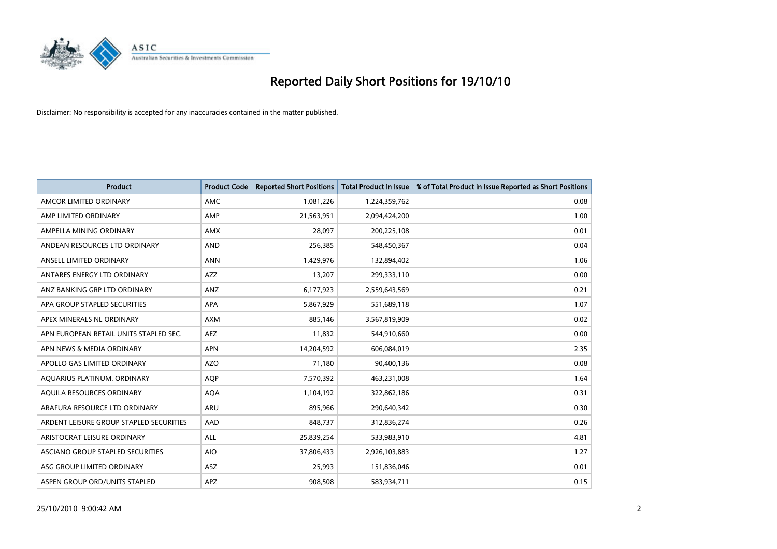

| <b>Product</b>                          | <b>Product Code</b> | <b>Reported Short Positions</b> | <b>Total Product in Issue</b> | % of Total Product in Issue Reported as Short Positions |
|-----------------------------------------|---------------------|---------------------------------|-------------------------------|---------------------------------------------------------|
| AMCOR LIMITED ORDINARY                  | <b>AMC</b>          | 1,081,226                       | 1,224,359,762                 | 0.08                                                    |
| AMP LIMITED ORDINARY                    | AMP                 | 21,563,951                      | 2,094,424,200                 | 1.00                                                    |
| AMPELLA MINING ORDINARY                 | <b>AMX</b>          | 28.097                          | 200,225,108                   | 0.01                                                    |
| ANDEAN RESOURCES LTD ORDINARY           | <b>AND</b>          | 256,385                         | 548,450,367                   | 0.04                                                    |
| ANSELL LIMITED ORDINARY                 | <b>ANN</b>          | 1,429,976                       | 132,894,402                   | 1.06                                                    |
| ANTARES ENERGY LTD ORDINARY             | <b>AZZ</b>          | 13,207                          | 299,333,110                   | 0.00                                                    |
| ANZ BANKING GRP LTD ORDINARY            | <b>ANZ</b>          | 6,177,923                       | 2,559,643,569                 | 0.21                                                    |
| APA GROUP STAPLED SECURITIES            | <b>APA</b>          | 5,867,929                       | 551,689,118                   | 1.07                                                    |
| APEX MINERALS NL ORDINARY               | <b>AXM</b>          | 885,146                         | 3,567,819,909                 | 0.02                                                    |
| APN EUROPEAN RETAIL UNITS STAPLED SEC.  | <b>AEZ</b>          | 11,832                          | 544,910,660                   | 0.00                                                    |
| APN NEWS & MEDIA ORDINARY               | <b>APN</b>          | 14,204,592                      | 606,084,019                   | 2.35                                                    |
| APOLLO GAS LIMITED ORDINARY             | <b>AZO</b>          | 71,180                          | 90,400,136                    | 0.08                                                    |
| AQUARIUS PLATINUM. ORDINARY             | <b>AQP</b>          | 7,570,392                       | 463,231,008                   | 1.64                                                    |
| AQUILA RESOURCES ORDINARY               | <b>AQA</b>          | 1,104,192                       | 322,862,186                   | 0.31                                                    |
| ARAFURA RESOURCE LTD ORDINARY           | <b>ARU</b>          | 895,966                         | 290,640,342                   | 0.30                                                    |
| ARDENT LEISURE GROUP STAPLED SECURITIES | AAD                 | 848,737                         | 312,836,274                   | 0.26                                                    |
| ARISTOCRAT LEISURE ORDINARY             | <b>ALL</b>          | 25,839,254                      | 533,983,910                   | 4.81                                                    |
| ASCIANO GROUP STAPLED SECURITIES        | <b>AIO</b>          | 37,806,433                      | 2,926,103,883                 | 1.27                                                    |
| ASG GROUP LIMITED ORDINARY              | <b>ASZ</b>          | 25,993                          | 151,836,046                   | 0.01                                                    |
| ASPEN GROUP ORD/UNITS STAPLED           | <b>APZ</b>          | 908.508                         | 583,934,711                   | 0.15                                                    |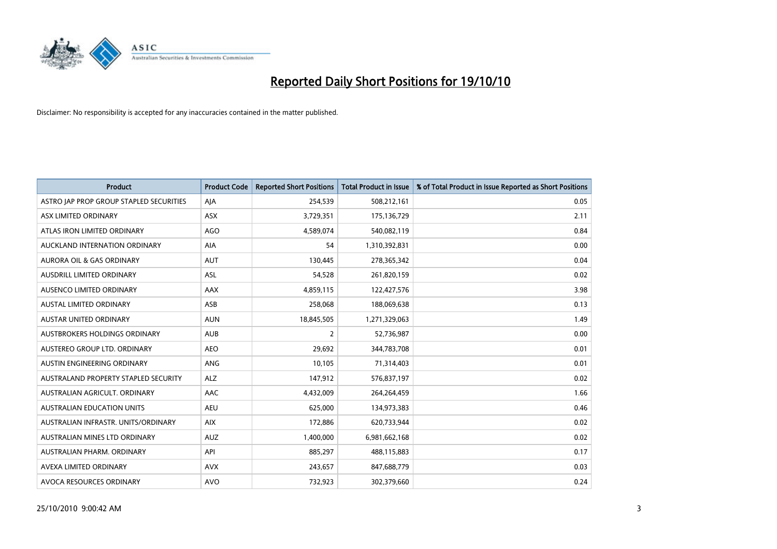

| <b>Product</b>                          | <b>Product Code</b> | <b>Reported Short Positions</b> | <b>Total Product in Issue</b> | % of Total Product in Issue Reported as Short Positions |
|-----------------------------------------|---------------------|---------------------------------|-------------------------------|---------------------------------------------------------|
| ASTRO JAP PROP GROUP STAPLED SECURITIES | AJA                 | 254,539                         | 508,212,161                   | 0.05                                                    |
| ASX LIMITED ORDINARY                    | ASX                 | 3,729,351                       | 175,136,729                   | 2.11                                                    |
| ATLAS IRON LIMITED ORDINARY             | <b>AGO</b>          | 4,589,074                       | 540,082,119                   | 0.84                                                    |
| AUCKLAND INTERNATION ORDINARY           | AIA                 | 54                              | 1,310,392,831                 | 0.00                                                    |
| <b>AURORA OIL &amp; GAS ORDINARY</b>    | <b>AUT</b>          | 130,445                         | 278,365,342                   | 0.04                                                    |
| <b>AUSDRILL LIMITED ORDINARY</b>        | ASL                 | 54,528                          | 261,820,159                   | 0.02                                                    |
| AUSENCO LIMITED ORDINARY                | <b>AAX</b>          | 4,859,115                       | 122,427,576                   | 3.98                                                    |
| <b>AUSTAL LIMITED ORDINARY</b>          | ASB                 | 258,068                         | 188,069,638                   | 0.13                                                    |
| AUSTAR UNITED ORDINARY                  | <b>AUN</b>          | 18,845,505                      | 1,271,329,063                 | 1.49                                                    |
| <b>AUSTBROKERS HOLDINGS ORDINARY</b>    | <b>AUB</b>          | 2                               | 52,736,987                    | 0.00                                                    |
| AUSTEREO GROUP LTD. ORDINARY            | <b>AEO</b>          | 29,692                          | 344,783,708                   | 0.01                                                    |
| AUSTIN ENGINEERING ORDINARY             | ANG                 | 10,105                          | 71,314,403                    | 0.01                                                    |
| AUSTRALAND PROPERTY STAPLED SECURITY    | <b>ALZ</b>          | 147,912                         | 576,837,197                   | 0.02                                                    |
| AUSTRALIAN AGRICULT, ORDINARY           | AAC                 | 4,432,009                       | 264,264,459                   | 1.66                                                    |
| <b>AUSTRALIAN EDUCATION UNITS</b>       | <b>AEU</b>          | 625,000                         | 134,973,383                   | 0.46                                                    |
| AUSTRALIAN INFRASTR. UNITS/ORDINARY     | <b>AIX</b>          | 172,886                         | 620,733,944                   | 0.02                                                    |
| AUSTRALIAN MINES LTD ORDINARY           | <b>AUZ</b>          | 1,400,000                       | 6,981,662,168                 | 0.02                                                    |
| AUSTRALIAN PHARM. ORDINARY              | API                 | 885,297                         | 488,115,883                   | 0.17                                                    |
| AVEXA LIMITED ORDINARY                  | <b>AVX</b>          | 243,657                         | 847,688,779                   | 0.03                                                    |
| AVOCA RESOURCES ORDINARY                | <b>AVO</b>          | 732.923                         | 302,379,660                   | 0.24                                                    |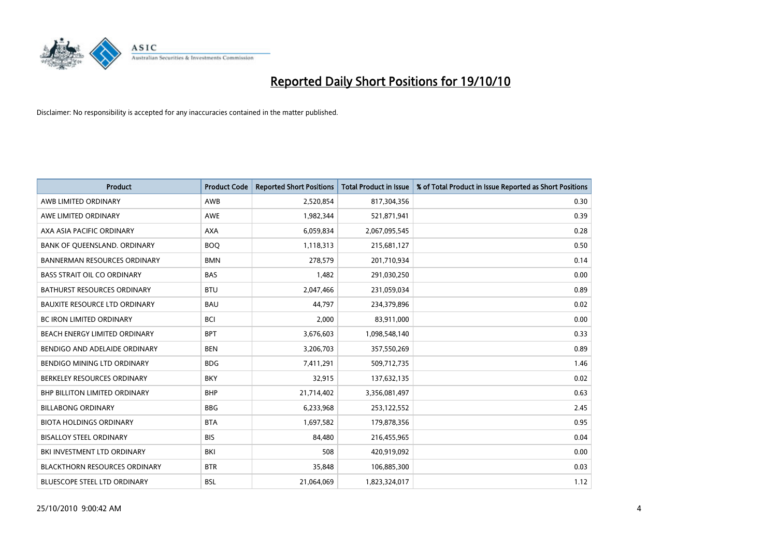

| <b>Product</b>                       | <b>Product Code</b> | <b>Reported Short Positions</b> | Total Product in Issue | % of Total Product in Issue Reported as Short Positions |
|--------------------------------------|---------------------|---------------------------------|------------------------|---------------------------------------------------------|
| AWB LIMITED ORDINARY                 | AWB                 | 2,520,854                       | 817,304,356            | 0.30                                                    |
| AWE LIMITED ORDINARY                 | <b>AWE</b>          | 1,982,344                       | 521,871,941            | 0.39                                                    |
| AXA ASIA PACIFIC ORDINARY            | <b>AXA</b>          | 6,059,834                       | 2,067,095,545          | 0.28                                                    |
| BANK OF QUEENSLAND. ORDINARY         | <b>BOO</b>          | 1,118,313                       | 215,681,127            | 0.50                                                    |
| <b>BANNERMAN RESOURCES ORDINARY</b>  | <b>BMN</b>          | 278,579                         | 201,710,934            | 0.14                                                    |
| <b>BASS STRAIT OIL CO ORDINARY</b>   | <b>BAS</b>          | 1,482                           | 291,030,250            | 0.00                                                    |
| <b>BATHURST RESOURCES ORDINARY</b>   | <b>BTU</b>          | 2,047,466                       | 231,059,034            | 0.89                                                    |
| <b>BAUXITE RESOURCE LTD ORDINARY</b> | <b>BAU</b>          | 44,797                          | 234,379,896            | 0.02                                                    |
| BC IRON LIMITED ORDINARY             | <b>BCI</b>          | 2,000                           | 83,911,000             | 0.00                                                    |
| BEACH ENERGY LIMITED ORDINARY        | <b>BPT</b>          | 3,676,603                       | 1,098,548,140          | 0.33                                                    |
| BENDIGO AND ADELAIDE ORDINARY        | <b>BEN</b>          | 3,206,703                       | 357,550,269            | 0.89                                                    |
| BENDIGO MINING LTD ORDINARY          | <b>BDG</b>          | 7,411,291                       | 509,712,735            | 1.46                                                    |
| BERKELEY RESOURCES ORDINARY          | <b>BKY</b>          | 32,915                          | 137,632,135            | 0.02                                                    |
| <b>BHP BILLITON LIMITED ORDINARY</b> | <b>BHP</b>          | 21,714,402                      | 3,356,081,497          | 0.63                                                    |
| <b>BILLABONG ORDINARY</b>            | <b>BBG</b>          | 6,233,968                       | 253,122,552            | 2.45                                                    |
| <b>BIOTA HOLDINGS ORDINARY</b>       | <b>BTA</b>          | 1,697,582                       | 179,878,356            | 0.95                                                    |
| <b>BISALLOY STEEL ORDINARY</b>       | <b>BIS</b>          | 84,480                          | 216,455,965            | 0.04                                                    |
| <b>BKI INVESTMENT LTD ORDINARY</b>   | <b>BKI</b>          | 508                             | 420,919,092            | 0.00                                                    |
| <b>BLACKTHORN RESOURCES ORDINARY</b> | <b>BTR</b>          | 35,848                          | 106,885,300            | 0.03                                                    |
| <b>BLUESCOPE STEEL LTD ORDINARY</b>  | <b>BSL</b>          | 21,064,069                      | 1,823,324,017          | 1.12                                                    |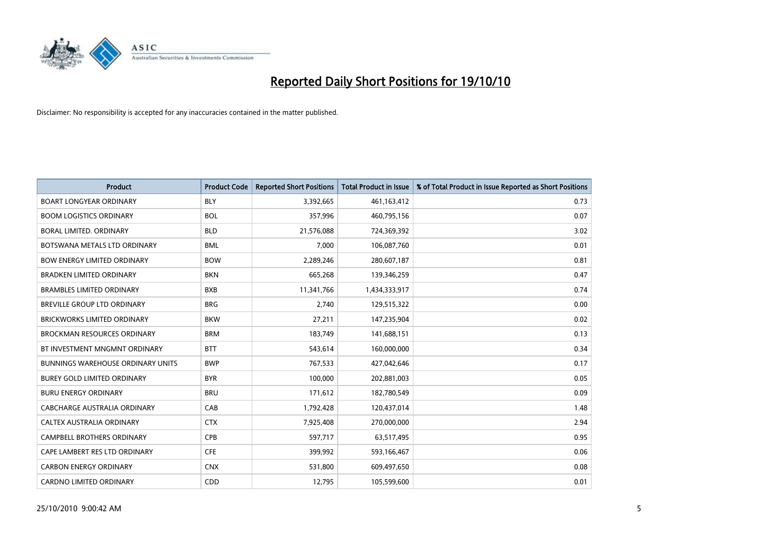

| <b>Product</b>                           | <b>Product Code</b> | <b>Reported Short Positions</b> | <b>Total Product in Issue</b> | % of Total Product in Issue Reported as Short Positions |
|------------------------------------------|---------------------|---------------------------------|-------------------------------|---------------------------------------------------------|
| <b>BOART LONGYEAR ORDINARY</b>           | <b>BLY</b>          | 3,392,665                       | 461,163,412                   | 0.73                                                    |
| <b>BOOM LOGISTICS ORDINARY</b>           | <b>BOL</b>          | 357,996                         | 460,795,156                   | 0.07                                                    |
| BORAL LIMITED, ORDINARY                  | <b>BLD</b>          | 21,576,088                      | 724,369,392                   | 3.02                                                    |
| BOTSWANA METALS LTD ORDINARY             | <b>BML</b>          | 7,000                           | 106,087,760                   | 0.01                                                    |
| <b>BOW ENERGY LIMITED ORDINARY</b>       | <b>BOW</b>          | 2,289,246                       | 280,607,187                   | 0.81                                                    |
| <b>BRADKEN LIMITED ORDINARY</b>          | <b>BKN</b>          | 665,268                         | 139,346,259                   | 0.47                                                    |
| <b>BRAMBLES LIMITED ORDINARY</b>         | <b>BXB</b>          | 11,341,766                      | 1,434,333,917                 | 0.74                                                    |
| BREVILLE GROUP LTD ORDINARY              | <b>BRG</b>          | 2,740                           | 129,515,322                   | 0.00                                                    |
| <b>BRICKWORKS LIMITED ORDINARY</b>       | <b>BKW</b>          | 27,211                          | 147,235,904                   | 0.02                                                    |
| <b>BROCKMAN RESOURCES ORDINARY</b>       | <b>BRM</b>          | 183,749                         | 141,688,151                   | 0.13                                                    |
| BT INVESTMENT MNGMNT ORDINARY            | <b>BTT</b>          | 543,614                         | 160,000,000                   | 0.34                                                    |
| <b>BUNNINGS WAREHOUSE ORDINARY UNITS</b> | <b>BWP</b>          | 767,533                         | 427,042,646                   | 0.17                                                    |
| <b>BUREY GOLD LIMITED ORDINARY</b>       | <b>BYR</b>          | 100,000                         | 202,881,003                   | 0.05                                                    |
| <b>BURU ENERGY ORDINARY</b>              | <b>BRU</b>          | 171,612                         | 182,780,549                   | 0.09                                                    |
| <b>CABCHARGE AUSTRALIA ORDINARY</b>      | CAB                 | 1,792,428                       | 120,437,014                   | 1.48                                                    |
| CALTEX AUSTRALIA ORDINARY                | <b>CTX</b>          | 7,925,408                       | 270,000,000                   | 2.94                                                    |
| <b>CAMPBELL BROTHERS ORDINARY</b>        | CPB                 | 597,717                         | 63,517,495                    | 0.95                                                    |
| CAPE LAMBERT RES LTD ORDINARY            | <b>CFE</b>          | 399,992                         | 593,166,467                   | 0.06                                                    |
| <b>CARBON ENERGY ORDINARY</b>            | <b>CNX</b>          | 531,800                         | 609,497,650                   | 0.08                                                    |
| <b>CARDNO LIMITED ORDINARY</b>           | CDD                 | 12,795                          | 105,599,600                   | 0.01                                                    |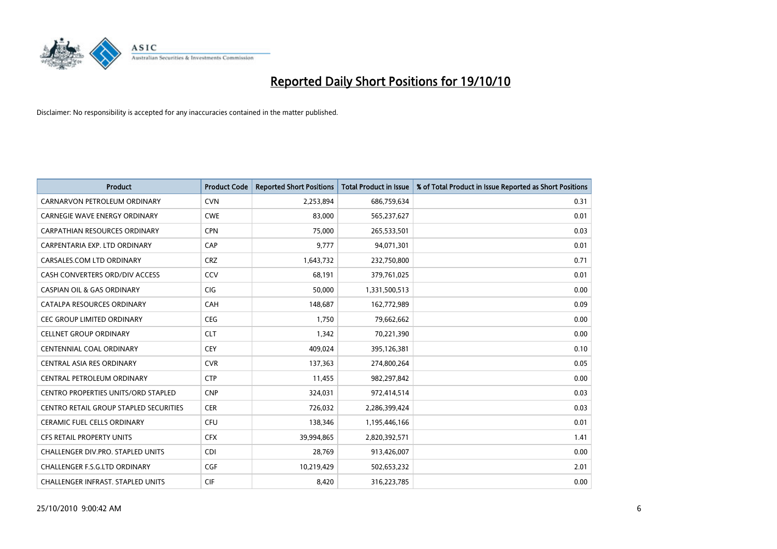

| <b>Product</b>                                | <b>Product Code</b> | <b>Reported Short Positions</b> | <b>Total Product in Issue</b> | % of Total Product in Issue Reported as Short Positions |
|-----------------------------------------------|---------------------|---------------------------------|-------------------------------|---------------------------------------------------------|
| CARNARVON PETROLEUM ORDINARY                  | <b>CVN</b>          | 2,253,894                       | 686,759,634                   | 0.31                                                    |
| <b>CARNEGIE WAVE ENERGY ORDINARY</b>          | <b>CWE</b>          | 83,000                          | 565,237,627                   | 0.01                                                    |
| <b>CARPATHIAN RESOURCES ORDINARY</b>          | <b>CPN</b>          | 75.000                          | 265,533,501                   | 0.03                                                    |
| CARPENTARIA EXP. LTD ORDINARY                 | CAP                 | 9,777                           | 94,071,301                    | 0.01                                                    |
| CARSALES.COM LTD ORDINARY                     | <b>CRZ</b>          | 1,643,732                       | 232,750,800                   | 0.71                                                    |
| CASH CONVERTERS ORD/DIV ACCESS                | CCV                 | 68,191                          | 379,761,025                   | 0.01                                                    |
| CASPIAN OIL & GAS ORDINARY                    | <b>CIG</b>          | 50,000                          | 1,331,500,513                 | 0.00                                                    |
| CATALPA RESOURCES ORDINARY                    | CAH                 | 148,687                         | 162,772,989                   | 0.09                                                    |
| <b>CEC GROUP LIMITED ORDINARY</b>             | <b>CEG</b>          | 1,750                           | 79,662,662                    | 0.00                                                    |
| <b>CELLNET GROUP ORDINARY</b>                 | <b>CLT</b>          | 1,342                           | 70,221,390                    | 0.00                                                    |
| <b>CENTENNIAL COAL ORDINARY</b>               | <b>CEY</b>          | 409,024                         | 395,126,381                   | 0.10                                                    |
| <b>CENTRAL ASIA RES ORDINARY</b>              | <b>CVR</b>          | 137,363                         | 274,800,264                   | 0.05                                                    |
| CENTRAL PETROLEUM ORDINARY                    | <b>CTP</b>          | 11,455                          | 982,297,842                   | 0.00                                                    |
| <b>CENTRO PROPERTIES UNITS/ORD STAPLED</b>    | <b>CNP</b>          | 324,031                         | 972,414,514                   | 0.03                                                    |
| <b>CENTRO RETAIL GROUP STAPLED SECURITIES</b> | <b>CER</b>          | 726,032                         | 2,286,399,424                 | 0.03                                                    |
| <b>CERAMIC FUEL CELLS ORDINARY</b>            | CFU                 | 138,346                         | 1,195,446,166                 | 0.01                                                    |
| CFS RETAIL PROPERTY UNITS                     | <b>CFX</b>          | 39,994,865                      | 2,820,392,571                 | 1.41                                                    |
| <b>CHALLENGER DIV.PRO. STAPLED UNITS</b>      | <b>CDI</b>          | 28,769                          | 913,426,007                   | 0.00                                                    |
| CHALLENGER F.S.G.LTD ORDINARY                 | CGF                 | 10,219,429                      | 502,653,232                   | 2.01                                                    |
| CHALLENGER INFRAST. STAPLED UNITS             | <b>CIF</b>          | 8,420                           | 316,223,785                   | 0.00                                                    |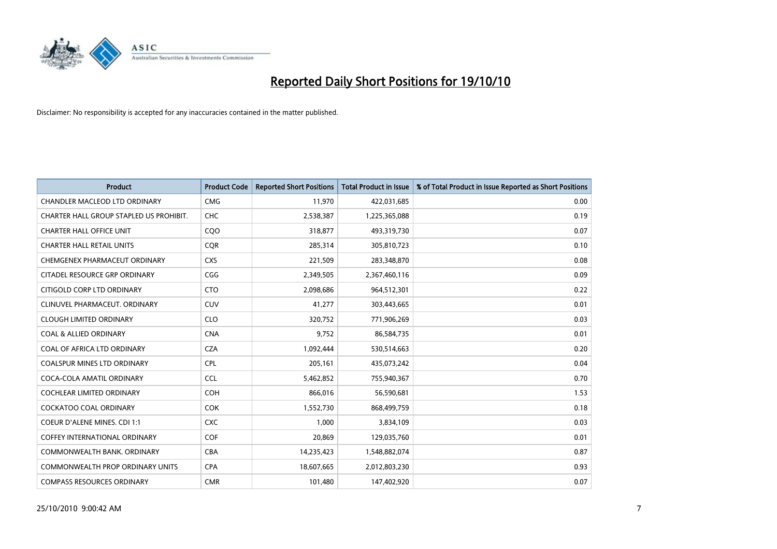

| <b>Product</b>                          | <b>Product Code</b> | <b>Reported Short Positions</b> | <b>Total Product in Issue</b> | % of Total Product in Issue Reported as Short Positions |
|-----------------------------------------|---------------------|---------------------------------|-------------------------------|---------------------------------------------------------|
| <b>CHANDLER MACLEOD LTD ORDINARY</b>    | <b>CMG</b>          | 11,970                          | 422,031,685                   | 0.00                                                    |
| CHARTER HALL GROUP STAPLED US PROHIBIT. | CHC                 | 2,538,387                       | 1,225,365,088                 | 0.19                                                    |
| <b>CHARTER HALL OFFICE UNIT</b>         | CQO                 | 318,877                         | 493,319,730                   | 0.07                                                    |
| <b>CHARTER HALL RETAIL UNITS</b>        | <b>COR</b>          | 285,314                         | 305,810,723                   | 0.10                                                    |
| CHEMGENEX PHARMACEUT ORDINARY           | <b>CXS</b>          | 221,509                         | 283,348,870                   | 0.08                                                    |
| CITADEL RESOURCE GRP ORDINARY           | CGG                 | 2,349,505                       | 2,367,460,116                 | 0.09                                                    |
| CITIGOLD CORP LTD ORDINARY              | <b>CTO</b>          | 2,098,686                       | 964,512,301                   | 0.22                                                    |
| CLINUVEL PHARMACEUT, ORDINARY           | <b>CUV</b>          | 41,277                          | 303,443,665                   | 0.01                                                    |
| <b>CLOUGH LIMITED ORDINARY</b>          | <b>CLO</b>          | 320,752                         | 771,906,269                   | 0.03                                                    |
| <b>COAL &amp; ALLIED ORDINARY</b>       | <b>CNA</b>          | 9,752                           | 86,584,735                    | 0.01                                                    |
| COAL OF AFRICA LTD ORDINARY             | <b>CZA</b>          | 1,092,444                       | 530,514,663                   | 0.20                                                    |
| <b>COALSPUR MINES LTD ORDINARY</b>      | <b>CPL</b>          | 205,161                         | 435,073,242                   | 0.04                                                    |
| COCA-COLA AMATIL ORDINARY               | <b>CCL</b>          | 5,462,852                       | 755,940,367                   | 0.70                                                    |
| <b>COCHLEAR LIMITED ORDINARY</b>        | COH                 | 866.016                         | 56,590,681                    | 1.53                                                    |
| <b>COCKATOO COAL ORDINARY</b>           | COK                 | 1,552,730                       | 868,499,759                   | 0.18                                                    |
| <b>COEUR D'ALENE MINES. CDI 1:1</b>     | <b>CXC</b>          | 1,000                           | 3,834,109                     | 0.03                                                    |
| <b>COFFEY INTERNATIONAL ORDINARY</b>    | COF                 | 20,869                          | 129,035,760                   | 0.01                                                    |
| COMMONWEALTH BANK, ORDINARY             | <b>CBA</b>          | 14,235,423                      | 1,548,882,074                 | 0.87                                                    |
| <b>COMMONWEALTH PROP ORDINARY UNITS</b> | <b>CPA</b>          | 18,607,665                      | 2,012,803,230                 | 0.93                                                    |
| <b>COMPASS RESOURCES ORDINARY</b>       | <b>CMR</b>          | 101,480                         | 147,402,920                   | 0.07                                                    |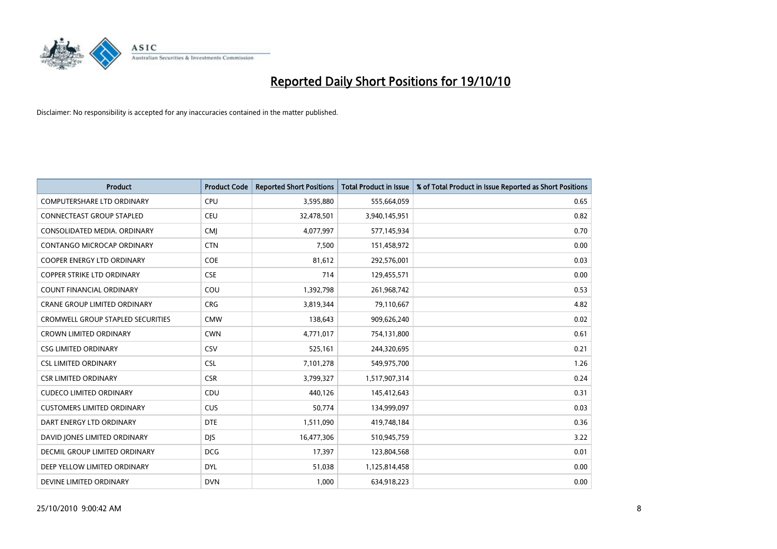

| <b>Product</b>                      | <b>Product Code</b> | <b>Reported Short Positions</b> | Total Product in Issue | % of Total Product in Issue Reported as Short Positions |
|-------------------------------------|---------------------|---------------------------------|------------------------|---------------------------------------------------------|
| <b>COMPUTERSHARE LTD ORDINARY</b>   | <b>CPU</b>          | 3,595,880                       | 555,664,059            | 0.65                                                    |
| <b>CONNECTEAST GROUP STAPLED</b>    | CEU                 | 32,478,501                      | 3,940,145,951          | 0.82                                                    |
| CONSOLIDATED MEDIA, ORDINARY        | <b>CMJ</b>          | 4,077,997                       | 577,145,934            | 0.70                                                    |
| CONTANGO MICROCAP ORDINARY          | <b>CTN</b>          | 7,500                           | 151,458,972            | 0.00                                                    |
| <b>COOPER ENERGY LTD ORDINARY</b>   | <b>COE</b>          | 81,612                          | 292,576,001            | 0.03                                                    |
| <b>COPPER STRIKE LTD ORDINARY</b>   | <b>CSE</b>          | 714                             | 129,455,571            | 0.00                                                    |
| <b>COUNT FINANCIAL ORDINARY</b>     | COU                 | 1,392,798                       | 261,968,742            | 0.53                                                    |
| <b>CRANE GROUP LIMITED ORDINARY</b> | <b>CRG</b>          | 3,819,344                       | 79,110,667             | 4.82                                                    |
| CROMWELL GROUP STAPLED SECURITIES   | <b>CMW</b>          | 138,643                         | 909,626,240            | 0.02                                                    |
| <b>CROWN LIMITED ORDINARY</b>       | <b>CWN</b>          | 4,771,017                       | 754,131,800            | 0.61                                                    |
| <b>CSG LIMITED ORDINARY</b>         | CSV                 | 525,161                         | 244,320,695            | 0.21                                                    |
| <b>CSL LIMITED ORDINARY</b>         | <b>CSL</b>          | 7,101,278                       | 549,975,700            | 1.26                                                    |
| <b>CSR LIMITED ORDINARY</b>         | <b>CSR</b>          | 3,799,327                       | 1,517,907,314          | 0.24                                                    |
| <b>CUDECO LIMITED ORDINARY</b>      | CDU                 | 440.126                         | 145,412,643            | 0.31                                                    |
| <b>CUSTOMERS LIMITED ORDINARY</b>   | <b>CUS</b>          | 50,774                          | 134,999,097            | 0.03                                                    |
| DART ENERGY LTD ORDINARY            | <b>DTE</b>          | 1,511,090                       | 419,748,184            | 0.36                                                    |
| DAVID JONES LIMITED ORDINARY        | <b>DJS</b>          | 16,477,306                      | 510,945,759            | 3.22                                                    |
| DECMIL GROUP LIMITED ORDINARY       | <b>DCG</b>          | 17,397                          | 123,804,568            | 0.01                                                    |
| DEEP YELLOW LIMITED ORDINARY        | <b>DYL</b>          | 51,038                          | 1,125,814,458          | 0.00                                                    |
| DEVINE LIMITED ORDINARY             | <b>DVN</b>          | 1.000                           | 634,918,223            | 0.00                                                    |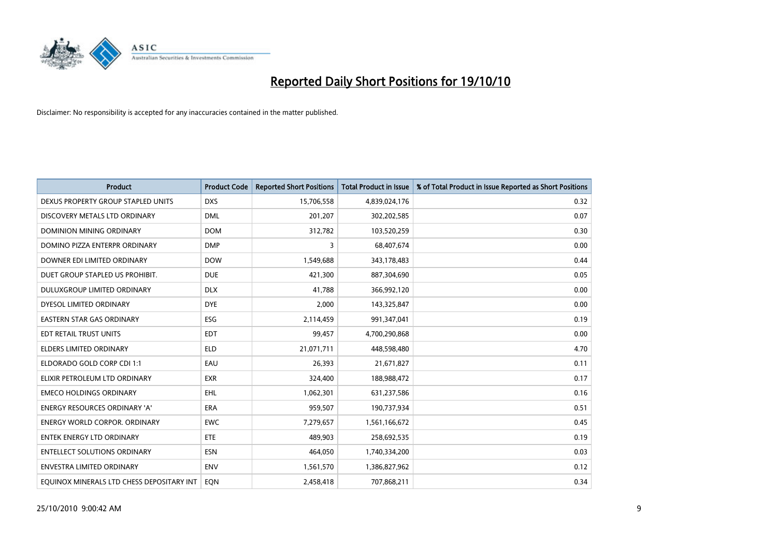

| <b>Product</b>                            | <b>Product Code</b> | <b>Reported Short Positions</b> | <b>Total Product in Issue</b> | % of Total Product in Issue Reported as Short Positions |
|-------------------------------------------|---------------------|---------------------------------|-------------------------------|---------------------------------------------------------|
| DEXUS PROPERTY GROUP STAPLED UNITS        | <b>DXS</b>          | 15,706,558                      | 4,839,024,176                 | 0.32                                                    |
| DISCOVERY METALS LTD ORDINARY             | <b>DML</b>          | 201,207                         | 302,202,585                   | 0.07                                                    |
| <b>DOMINION MINING ORDINARY</b>           | <b>DOM</b>          | 312,782                         | 103,520,259                   | 0.30                                                    |
| DOMINO PIZZA ENTERPR ORDINARY             | <b>DMP</b>          | 3                               | 68,407,674                    | 0.00                                                    |
| DOWNER EDI LIMITED ORDINARY               | <b>DOW</b>          | 1,549,688                       | 343,178,483                   | 0.44                                                    |
| DUET GROUP STAPLED US PROHIBIT.           | <b>DUE</b>          | 421,300                         | 887,304,690                   | 0.05                                                    |
| DULUXGROUP LIMITED ORDINARY               | <b>DLX</b>          | 41,788                          | 366,992,120                   | 0.00                                                    |
| DYESOL LIMITED ORDINARY                   | <b>DYE</b>          | 2,000                           | 143,325,847                   | 0.00                                                    |
| EASTERN STAR GAS ORDINARY                 | ESG                 | 2,114,459                       | 991,347,041                   | 0.19                                                    |
| EDT RETAIL TRUST UNITS                    | <b>EDT</b>          | 99,457                          | 4,700,290,868                 | 0.00                                                    |
| <b>ELDERS LIMITED ORDINARY</b>            | <b>ELD</b>          | 21,071,711                      | 448,598,480                   | 4.70                                                    |
| ELDORADO GOLD CORP CDI 1:1                | EAU                 | 26,393                          | 21,671,827                    | 0.11                                                    |
| ELIXIR PETROLEUM LTD ORDINARY             | <b>EXR</b>          | 324,400                         | 188,988,472                   | 0.17                                                    |
| <b>EMECO HOLDINGS ORDINARY</b>            | <b>EHL</b>          | 1,062,301                       | 631,237,586                   | 0.16                                                    |
| <b>ENERGY RESOURCES ORDINARY 'A'</b>      | <b>ERA</b>          | 959,507                         | 190,737,934                   | 0.51                                                    |
| <b>ENERGY WORLD CORPOR. ORDINARY</b>      | <b>EWC</b>          | 7,279,657                       | 1,561,166,672                 | 0.45                                                    |
| <b>ENTEK ENERGY LTD ORDINARY</b>          | ETE                 | 489,903                         | 258,692,535                   | 0.19                                                    |
| <b>ENTELLECT SOLUTIONS ORDINARY</b>       | <b>ESN</b>          | 464,050                         | 1,740,334,200                 | 0.03                                                    |
| <b>ENVESTRA LIMITED ORDINARY</b>          | <b>ENV</b>          | 1,561,570                       | 1,386,827,962                 | 0.12                                                    |
| EQUINOX MINERALS LTD CHESS DEPOSITARY INT | <b>EON</b>          | 2,458,418                       | 707,868,211                   | 0.34                                                    |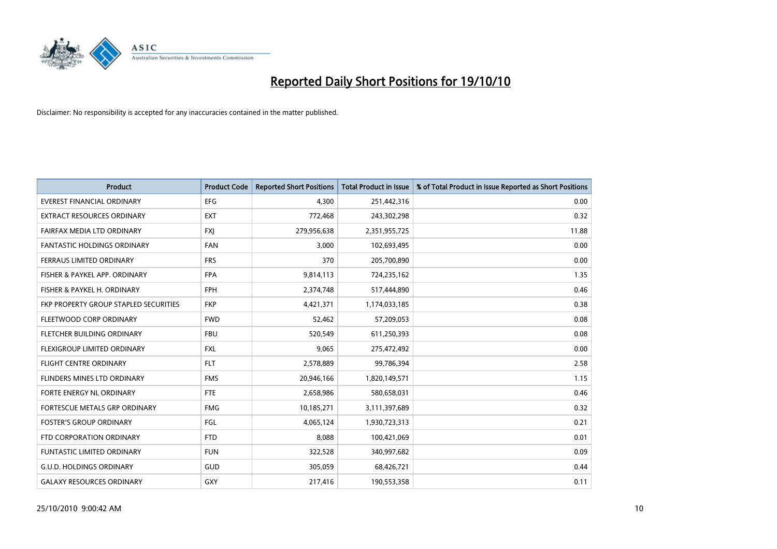

| <b>Product</b>                        | <b>Product Code</b> | <b>Reported Short Positions</b> | <b>Total Product in Issue</b> | % of Total Product in Issue Reported as Short Positions |
|---------------------------------------|---------------------|---------------------------------|-------------------------------|---------------------------------------------------------|
| <b>EVEREST FINANCIAL ORDINARY</b>     | <b>EFG</b>          | 4,300                           | 251,442,316                   | 0.00                                                    |
| EXTRACT RESOURCES ORDINARY            | <b>EXT</b>          | 772,468                         | 243,302,298                   | 0.32                                                    |
| FAIRFAX MEDIA LTD ORDINARY            | <b>FXI</b>          | 279,956,638                     | 2,351,955,725                 | 11.88                                                   |
| <b>FANTASTIC HOLDINGS ORDINARY</b>    | <b>FAN</b>          | 3,000                           | 102,693,495                   | 0.00                                                    |
| FERRAUS LIMITED ORDINARY              | <b>FRS</b>          | 370                             | 205,700,890                   | 0.00                                                    |
| FISHER & PAYKEL APP. ORDINARY         | <b>FPA</b>          | 9,814,113                       | 724,235,162                   | 1.35                                                    |
| FISHER & PAYKEL H. ORDINARY           | <b>FPH</b>          | 2,374,748                       | 517,444,890                   | 0.46                                                    |
| FKP PROPERTY GROUP STAPLED SECURITIES | <b>FKP</b>          | 4,421,371                       | 1,174,033,185                 | 0.38                                                    |
| FLEETWOOD CORP ORDINARY               | <b>FWD</b>          | 52,462                          | 57,209,053                    | 0.08                                                    |
| FLETCHER BUILDING ORDINARY            | <b>FBU</b>          | 520,549                         | 611,250,393                   | 0.08                                                    |
| FLEXIGROUP LIMITED ORDINARY           | <b>FXL</b>          | 9,065                           | 275,472,492                   | 0.00                                                    |
| FLIGHT CENTRE ORDINARY                | <b>FLT</b>          | 2,578,889                       | 99,786,394                    | 2.58                                                    |
| FLINDERS MINES LTD ORDINARY           | <b>FMS</b>          | 20,946,166                      | 1,820,149,571                 | 1.15                                                    |
| FORTE ENERGY NL ORDINARY              | <b>FTE</b>          | 2,658,986                       | 580,658,031                   | 0.46                                                    |
| FORTESCUE METALS GRP ORDINARY         | <b>FMG</b>          | 10,185,271                      | 3,111,397,689                 | 0.32                                                    |
| <b>FOSTER'S GROUP ORDINARY</b>        | FGL                 | 4,065,124                       | 1,930,723,313                 | 0.21                                                    |
| FTD CORPORATION ORDINARY              | <b>FTD</b>          | 8,088                           | 100,421,069                   | 0.01                                                    |
| <b>FUNTASTIC LIMITED ORDINARY</b>     | <b>FUN</b>          | 322,528                         | 340,997,682                   | 0.09                                                    |
| <b>G.U.D. HOLDINGS ORDINARY</b>       | <b>GUD</b>          | 305,059                         | 68,426,721                    | 0.44                                                    |
| <b>GALAXY RESOURCES ORDINARY</b>      | <b>GXY</b>          | 217,416                         | 190,553,358                   | 0.11                                                    |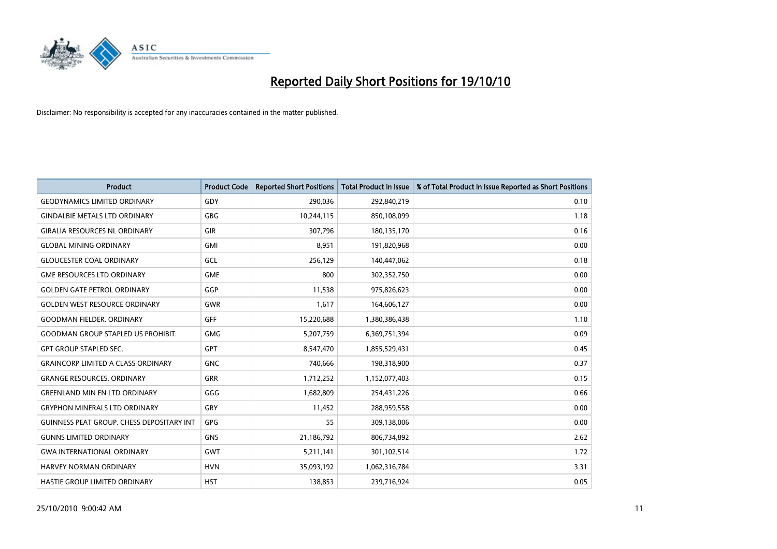

| <b>Product</b>                            | <b>Product Code</b> | <b>Reported Short Positions</b> | Total Product in Issue | % of Total Product in Issue Reported as Short Positions |
|-------------------------------------------|---------------------|---------------------------------|------------------------|---------------------------------------------------------|
| <b>GEODYNAMICS LIMITED ORDINARY</b>       | GDY                 | 290,036                         | 292,840,219            | 0.10                                                    |
| <b>GINDALBIE METALS LTD ORDINARY</b>      | <b>GBG</b>          | 10,244,115                      | 850,108,099            | 1.18                                                    |
| <b>GIRALIA RESOURCES NL ORDINARY</b>      | <b>GIR</b>          | 307,796                         | 180,135,170            | 0.16                                                    |
| <b>GLOBAL MINING ORDINARY</b>             | GMI                 | 8,951                           | 191,820,968            | 0.00                                                    |
| <b>GLOUCESTER COAL ORDINARY</b>           | <b>GCL</b>          | 256,129                         | 140,447,062            | 0.18                                                    |
| <b>GME RESOURCES LTD ORDINARY</b>         | <b>GME</b>          | 800                             | 302,352,750            | 0.00                                                    |
| <b>GOLDEN GATE PETROL ORDINARY</b>        | GGP                 | 11,538                          | 975,826,623            | 0.00                                                    |
| <b>GOLDEN WEST RESOURCE ORDINARY</b>      | <b>GWR</b>          | 1,617                           | 164,606,127            | 0.00                                                    |
| <b>GOODMAN FIELDER, ORDINARY</b>          | <b>GFF</b>          | 15,220,688                      | 1,380,386,438          | 1.10                                                    |
| <b>GOODMAN GROUP STAPLED US PROHIBIT.</b> | <b>GMG</b>          | 5,207,759                       | 6,369,751,394          | 0.09                                                    |
| <b>GPT GROUP STAPLED SEC.</b>             | <b>GPT</b>          | 8,547,470                       | 1,855,529,431          | 0.45                                                    |
| <b>GRAINCORP LIMITED A CLASS ORDINARY</b> | <b>GNC</b>          | 740,666                         | 198,318,900            | 0.37                                                    |
| <b>GRANGE RESOURCES, ORDINARY</b>         | <b>GRR</b>          | 1,712,252                       | 1,152,077,403          | 0.15                                                    |
| <b>GREENLAND MIN EN LTD ORDINARY</b>      | GGG                 | 1,682,809                       | 254,431,226            | 0.66                                                    |
| <b>GRYPHON MINERALS LTD ORDINARY</b>      | GRY                 | 11,452                          | 288,959,558            | 0.00                                                    |
| GUINNESS PEAT GROUP. CHESS DEPOSITARY INT | GPG                 | 55                              | 309,138,006            | 0.00                                                    |
| <b>GUNNS LIMITED ORDINARY</b>             | <b>GNS</b>          | 21,186,792                      | 806,734,892            | 2.62                                                    |
| <b>GWA INTERNATIONAL ORDINARY</b>         | <b>GWT</b>          | 5,211,141                       | 301,102,514            | 1.72                                                    |
| <b>HARVEY NORMAN ORDINARY</b>             | <b>HVN</b>          | 35,093,192                      | 1,062,316,784          | 3.31                                                    |
| <b>HASTIE GROUP LIMITED ORDINARY</b>      | <b>HST</b>          | 138.853                         | 239,716,924            | 0.05                                                    |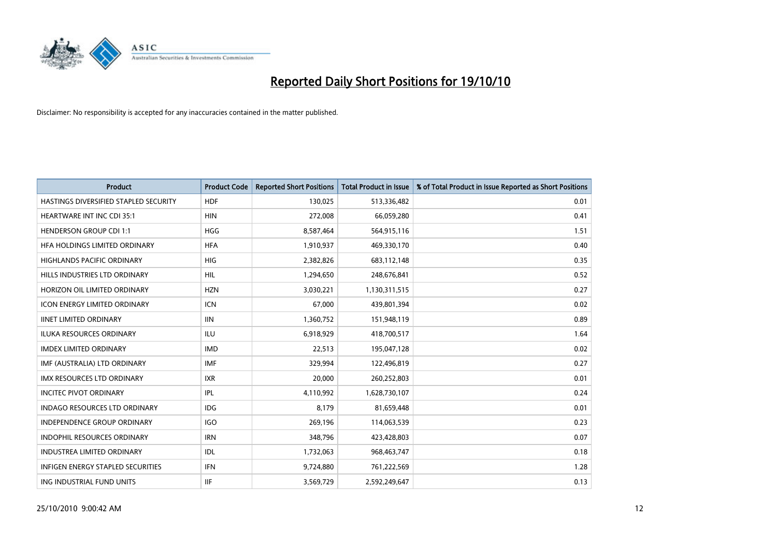

| <b>Product</b>                           | <b>Product Code</b> | <b>Reported Short Positions</b> | Total Product in Issue | % of Total Product in Issue Reported as Short Positions |
|------------------------------------------|---------------------|---------------------------------|------------------------|---------------------------------------------------------|
| HASTINGS DIVERSIFIED STAPLED SECURITY    | <b>HDF</b>          | 130,025                         | 513,336,482            | 0.01                                                    |
| HEARTWARE INT INC CDI 35:1               | <b>HIN</b>          | 272,008                         | 66,059,280             | 0.41                                                    |
| <b>HENDERSON GROUP CDI 1:1</b>           | <b>HGG</b>          | 8,587,464                       | 564,915,116            | 1.51                                                    |
| HFA HOLDINGS LIMITED ORDINARY            | <b>HFA</b>          | 1,910,937                       | 469,330,170            | 0.40                                                    |
| <b>HIGHLANDS PACIFIC ORDINARY</b>        | <b>HIG</b>          | 2,382,826                       | 683,112,148            | 0.35                                                    |
| HILLS INDUSTRIES LTD ORDINARY            | <b>HIL</b>          | 1,294,650                       | 248,676,841            | 0.52                                                    |
| HORIZON OIL LIMITED ORDINARY             | <b>HZN</b>          | 3,030,221                       | 1,130,311,515          | 0.27                                                    |
| <b>ICON ENERGY LIMITED ORDINARY</b>      | <b>ICN</b>          | 67,000                          | 439,801,394            | 0.02                                                    |
| <b>IINET LIMITED ORDINARY</b>            | <b>IIN</b>          | 1,360,752                       | 151,948,119            | 0.89                                                    |
| <b>ILUKA RESOURCES ORDINARY</b>          | <b>ILU</b>          | 6,918,929                       | 418,700,517            | 1.64                                                    |
| <b>IMDEX LIMITED ORDINARY</b>            | <b>IMD</b>          | 22,513                          | 195,047,128            | 0.02                                                    |
| IMF (AUSTRALIA) LTD ORDINARY             | <b>IMF</b>          | 329.994                         | 122,496,819            | 0.27                                                    |
| IMX RESOURCES LTD ORDINARY               | <b>IXR</b>          | 20,000                          | 260,252,803            | 0.01                                                    |
| <b>INCITEC PIVOT ORDINARY</b>            | <b>IPL</b>          | 4,110,992                       | 1,628,730,107          | 0.24                                                    |
| <b>INDAGO RESOURCES LTD ORDINARY</b>     | <b>IDG</b>          | 8,179                           | 81,659,448             | 0.01                                                    |
| INDEPENDENCE GROUP ORDINARY              | <b>IGO</b>          | 269,196                         | 114,063,539            | 0.23                                                    |
| <b>INDOPHIL RESOURCES ORDINARY</b>       | <b>IRN</b>          | 348,796                         | 423,428,803            | 0.07                                                    |
| <b>INDUSTREA LIMITED ORDINARY</b>        | IDL                 | 1,732,063                       | 968,463,747            | 0.18                                                    |
| <b>INFIGEN ENERGY STAPLED SECURITIES</b> | <b>IFN</b>          | 9,724,880                       | 761,222,569            | 1.28                                                    |
| ING INDUSTRIAL FUND UNITS                | <b>IIF</b>          | 3,569,729                       | 2,592,249,647          | 0.13                                                    |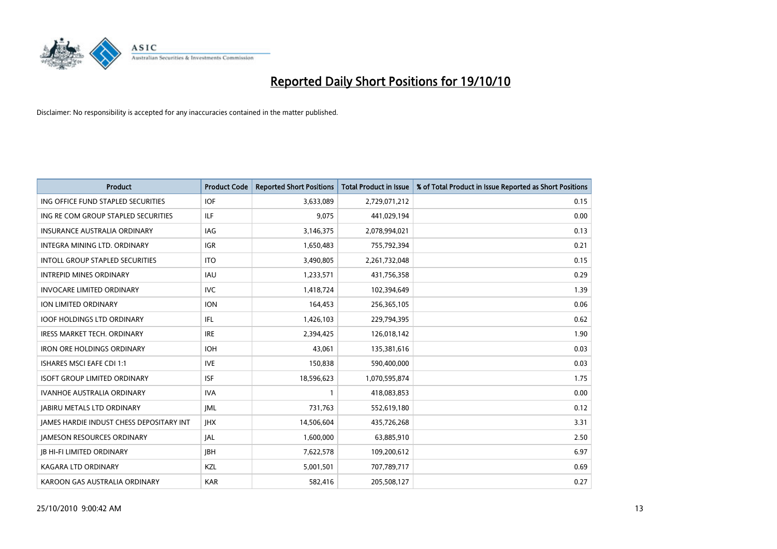

| <b>Product</b>                                  | <b>Product Code</b> | <b>Reported Short Positions</b> | Total Product in Issue | % of Total Product in Issue Reported as Short Positions |
|-------------------------------------------------|---------------------|---------------------------------|------------------------|---------------------------------------------------------|
| ING OFFICE FUND STAPLED SECURITIES              | <b>IOF</b>          | 3,633,089                       | 2,729,071,212          | 0.15                                                    |
| ING RE COM GROUP STAPLED SECURITIES             | <b>ILF</b>          | 9,075                           | 441,029,194            | 0.00                                                    |
| <b>INSURANCE AUSTRALIA ORDINARY</b>             | <b>IAG</b>          | 3,146,375                       | 2,078,994,021          | 0.13                                                    |
| INTEGRA MINING LTD. ORDINARY                    | <b>IGR</b>          | 1,650,483                       | 755,792,394            | 0.21                                                    |
| INTOLL GROUP STAPLED SECURITIES                 | <b>ITO</b>          | 3,490,805                       | 2,261,732,048          | 0.15                                                    |
| <b>INTREPID MINES ORDINARY</b>                  | <b>IAU</b>          | 1,233,571                       | 431,756,358            | 0.29                                                    |
| <b>INVOCARE LIMITED ORDINARY</b>                | <b>IVC</b>          | 1,418,724                       | 102,394,649            | 1.39                                                    |
| <b>ION LIMITED ORDINARY</b>                     | <b>ION</b>          | 164,453                         | 256,365,105            | 0.06                                                    |
| <b>IOOF HOLDINGS LTD ORDINARY</b>               | <b>IFL</b>          | 1,426,103                       | 229,794,395            | 0.62                                                    |
| <b>IRESS MARKET TECH. ORDINARY</b>              | <b>IRE</b>          | 2,394,425                       | 126,018,142            | 1.90                                                    |
| <b>IRON ORE HOLDINGS ORDINARY</b>               | <b>IOH</b>          | 43,061                          | 135,381,616            | 0.03                                                    |
| <b>ISHARES MSCI EAFE CDI 1:1</b>                | <b>IVE</b>          | 150,838                         | 590,400,000            | 0.03                                                    |
| <b>ISOFT GROUP LIMITED ORDINARY</b>             | <b>ISF</b>          | 18,596,623                      | 1,070,595,874          | 1.75                                                    |
| <b>IVANHOE AUSTRALIA ORDINARY</b>               | <b>IVA</b>          |                                 | 418,083,853            | 0.00                                                    |
| <b>JABIRU METALS LTD ORDINARY</b>               | <b>JML</b>          | 731,763                         | 552,619,180            | 0.12                                                    |
| <b>JAMES HARDIE INDUST CHESS DEPOSITARY INT</b> | <b>IHX</b>          | 14,506,604                      | 435,726,268            | 3.31                                                    |
| <b>JAMESON RESOURCES ORDINARY</b>               | <b>JAL</b>          | 1,600,000                       | 63,885,910             | 2.50                                                    |
| <b>JB HI-FI LIMITED ORDINARY</b>                | <b>IBH</b>          | 7,622,578                       | 109,200,612            | 6.97                                                    |
| KAGARA LTD ORDINARY                             | KZL                 | 5,001,501                       | 707,789,717            | 0.69                                                    |
| KAROON GAS AUSTRALIA ORDINARY                   | <b>KAR</b>          | 582,416                         | 205,508,127            | 0.27                                                    |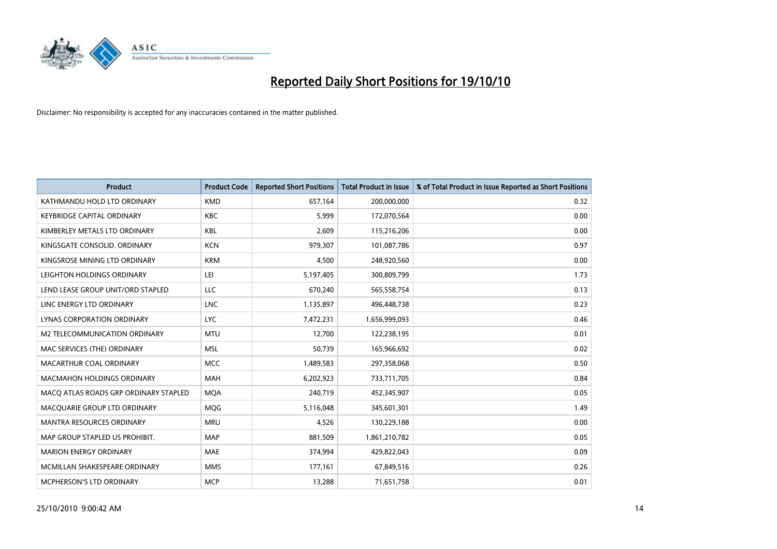

| <b>Product</b>                        | <b>Product Code</b> | <b>Reported Short Positions</b> | <b>Total Product in Issue</b> | % of Total Product in Issue Reported as Short Positions |
|---------------------------------------|---------------------|---------------------------------|-------------------------------|---------------------------------------------------------|
| KATHMANDU HOLD LTD ORDINARY           | <b>KMD</b>          | 657,164                         | 200,000,000                   | 0.32                                                    |
| <b>KEYBRIDGE CAPITAL ORDINARY</b>     | <b>KBC</b>          | 5,999                           | 172,070,564                   | 0.00                                                    |
| KIMBERLEY METALS LTD ORDINARY         | <b>KBL</b>          | 2,609                           | 115,216,206                   | 0.00                                                    |
| KINGSGATE CONSOLID. ORDINARY          | <b>KCN</b>          | 979,307                         | 101,087,786                   | 0.97                                                    |
| KINGSROSE MINING LTD ORDINARY         | <b>KRM</b>          | 4,500                           | 248,920,560                   | 0.00                                                    |
| LEIGHTON HOLDINGS ORDINARY            | LEI                 | 5,197,405                       | 300,809,799                   | 1.73                                                    |
| LEND LEASE GROUP UNIT/ORD STAPLED     | LLC                 | 670.240                         | 565,558,754                   | 0.13                                                    |
| LINC ENERGY LTD ORDINARY              | <b>LNC</b>          | 1,135,897                       | 496,448,738                   | 0.23                                                    |
| <b>LYNAS CORPORATION ORDINARY</b>     | <b>LYC</b>          | 7,472,231                       | 1,656,999,093                 | 0.46                                                    |
| M2 TELECOMMUNICATION ORDINARY         | <b>MTU</b>          | 12,700                          | 122,238,195                   | 0.01                                                    |
| MAC SERVICES (THE) ORDINARY           | <b>MSL</b>          | 50,739                          | 165,966,692                   | 0.02                                                    |
| MACARTHUR COAL ORDINARY               | <b>MCC</b>          | 1,489,583                       | 297,358,068                   | 0.50                                                    |
| <b>MACMAHON HOLDINGS ORDINARY</b>     | <b>MAH</b>          | 6,202,923                       | 733,711,705                   | 0.84                                                    |
| MACO ATLAS ROADS GRP ORDINARY STAPLED | <b>MOA</b>          | 240,719                         | 452,345,907                   | 0.05                                                    |
| MACQUARIE GROUP LTD ORDINARY          | MQG                 | 5,116,048                       | 345,601,301                   | 1.49                                                    |
| MANTRA RESOURCES ORDINARY             | <b>MRU</b>          | 4,526                           | 130,229,188                   | 0.00                                                    |
| MAP GROUP STAPLED US PROHIBIT.        | <b>MAP</b>          | 881,509                         | 1,861,210,782                 | 0.05                                                    |
| <b>MARION ENERGY ORDINARY</b>         | MAE                 | 374,994                         | 429,822,043                   | 0.09                                                    |
| MCMILLAN SHAKESPEARE ORDINARY         | <b>MMS</b>          | 177,161                         | 67,849,516                    | 0.26                                                    |
| MCPHERSON'S LTD ORDINARY              | <b>MCP</b>          | 13,288                          | 71,651,758                    | 0.01                                                    |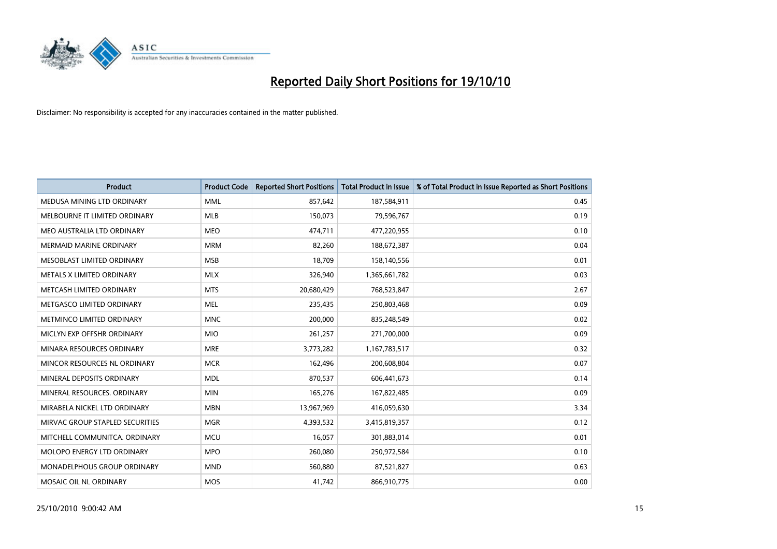

| <b>Product</b>                  | <b>Product Code</b> | <b>Reported Short Positions</b> | <b>Total Product in Issue</b> | % of Total Product in Issue Reported as Short Positions |
|---------------------------------|---------------------|---------------------------------|-------------------------------|---------------------------------------------------------|
| MEDUSA MINING LTD ORDINARY      | <b>MML</b>          | 857,642                         | 187,584,911                   | 0.45                                                    |
| MELBOURNE IT LIMITED ORDINARY   | <b>MLB</b>          | 150,073                         | 79,596,767                    | 0.19                                                    |
| MEO AUSTRALIA LTD ORDINARY      | <b>MEO</b>          | 474,711                         | 477,220,955                   | 0.10                                                    |
| <b>MERMAID MARINE ORDINARY</b>  | <b>MRM</b>          | 82,260                          | 188,672,387                   | 0.04                                                    |
| MESOBLAST LIMITED ORDINARY      | <b>MSB</b>          | 18,709                          | 158,140,556                   | 0.01                                                    |
| METALS X LIMITED ORDINARY       | <b>MLX</b>          | 326,940                         | 1,365,661,782                 | 0.03                                                    |
| METCASH LIMITED ORDINARY        | <b>MTS</b>          | 20,680,429                      | 768,523,847                   | 2.67                                                    |
| METGASCO LIMITED ORDINARY       | <b>MEL</b>          | 235,435                         | 250,803,468                   | 0.09                                                    |
| METMINCO LIMITED ORDINARY       | <b>MNC</b>          | 200,000                         | 835,248,549                   | 0.02                                                    |
| MICLYN EXP OFFSHR ORDINARY      | <b>MIO</b>          | 261,257                         | 271,700,000                   | 0.09                                                    |
| MINARA RESOURCES ORDINARY       | <b>MRE</b>          | 3,773,282                       | 1,167,783,517                 | 0.32                                                    |
| MINCOR RESOURCES NL ORDINARY    | <b>MCR</b>          | 162,496                         | 200,608,804                   | 0.07                                                    |
| MINERAL DEPOSITS ORDINARY       | <b>MDL</b>          | 870,537                         | 606,441,673                   | 0.14                                                    |
| MINERAL RESOURCES. ORDINARY     | <b>MIN</b>          | 165,276                         | 167,822,485                   | 0.09                                                    |
| MIRABELA NICKEL LTD ORDINARY    | <b>MBN</b>          | 13,967,969                      | 416,059,630                   | 3.34                                                    |
| MIRVAC GROUP STAPLED SECURITIES | <b>MGR</b>          | 4,393,532                       | 3,415,819,357                 | 0.12                                                    |
| MITCHELL COMMUNITCA. ORDINARY   | <b>MCU</b>          | 16,057                          | 301,883,014                   | 0.01                                                    |
| MOLOPO ENERGY LTD ORDINARY      | <b>MPO</b>          | 260,080                         | 250,972,584                   | 0.10                                                    |
| MONADELPHOUS GROUP ORDINARY     | <b>MND</b>          | 560,880                         | 87,521,827                    | 0.63                                                    |
| MOSAIC OIL NL ORDINARY          | MOS                 | 41,742                          | 866,910,775                   | 0.00                                                    |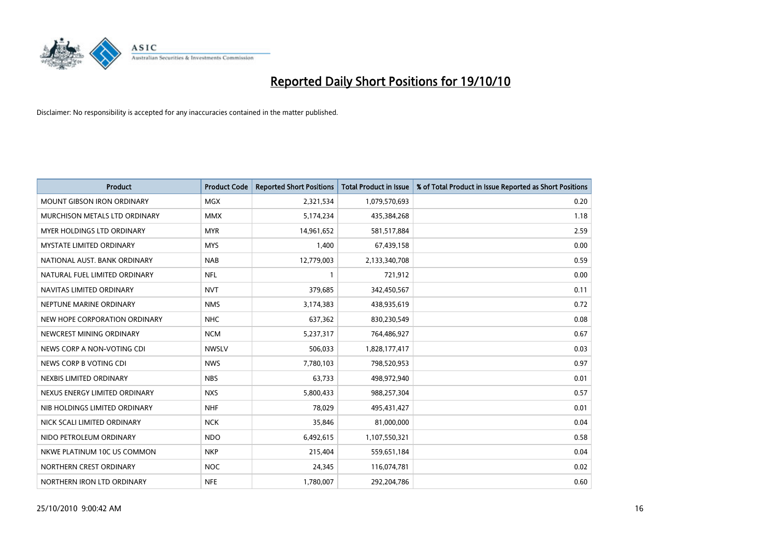

| <b>Product</b>                    | <b>Product Code</b> | <b>Reported Short Positions</b> | <b>Total Product in Issue</b> | % of Total Product in Issue Reported as Short Positions |
|-----------------------------------|---------------------|---------------------------------|-------------------------------|---------------------------------------------------------|
| <b>MOUNT GIBSON IRON ORDINARY</b> | MGX                 | 2,321,534                       | 1,079,570,693                 | 0.20                                                    |
| MURCHISON METALS LTD ORDINARY     | <b>MMX</b>          | 5,174,234                       | 435,384,268                   | 1.18                                                    |
| <b>MYER HOLDINGS LTD ORDINARY</b> | <b>MYR</b>          | 14,961,652                      | 581,517,884                   | 2.59                                                    |
| MYSTATE LIMITED ORDINARY          | <b>MYS</b>          | 1,400                           | 67,439,158                    | 0.00                                                    |
| NATIONAL AUST, BANK ORDINARY      | <b>NAB</b>          | 12,779,003                      | 2,133,340,708                 | 0.59                                                    |
| NATURAL FUEL LIMITED ORDINARY     | <b>NFL</b>          |                                 | 721,912                       | 0.00                                                    |
| NAVITAS LIMITED ORDINARY          | <b>NVT</b>          | 379,685                         | 342,450,567                   | 0.11                                                    |
| NEPTUNE MARINE ORDINARY           | <b>NMS</b>          | 3,174,383                       | 438,935,619                   | 0.72                                                    |
| NEW HOPE CORPORATION ORDINARY     | <b>NHC</b>          | 637,362                         | 830,230,549                   | 0.08                                                    |
| NEWCREST MINING ORDINARY          | <b>NCM</b>          | 5,237,317                       | 764,486,927                   | 0.67                                                    |
| NEWS CORP A NON-VOTING CDI        | <b>NWSLV</b>        | 506,033                         | 1,828,177,417                 | 0.03                                                    |
| NEWS CORP B VOTING CDI            | <b>NWS</b>          | 7,780,103                       | 798,520,953                   | 0.97                                                    |
| NEXBIS LIMITED ORDINARY           | <b>NBS</b>          | 63.733                          | 498,972,940                   | 0.01                                                    |
| NEXUS ENERGY LIMITED ORDINARY     | <b>NXS</b>          | 5,800,433                       | 988,257,304                   | 0.57                                                    |
| NIB HOLDINGS LIMITED ORDINARY     | <b>NHF</b>          | 78,029                          | 495,431,427                   | 0.01                                                    |
| NICK SCALI LIMITED ORDINARY       | <b>NCK</b>          | 35,846                          | 81,000,000                    | 0.04                                                    |
| NIDO PETROLEUM ORDINARY           | <b>NDO</b>          | 6,492,615                       | 1,107,550,321                 | 0.58                                                    |
| NKWE PLATINUM 10C US COMMON       | <b>NKP</b>          | 215,404                         | 559,651,184                   | 0.04                                                    |
| NORTHERN CREST ORDINARY           | <b>NOC</b>          | 24,345                          | 116,074,781                   | 0.02                                                    |
| NORTHERN IRON LTD ORDINARY        | <b>NFE</b>          | 1,780,007                       | 292,204,786                   | 0.60                                                    |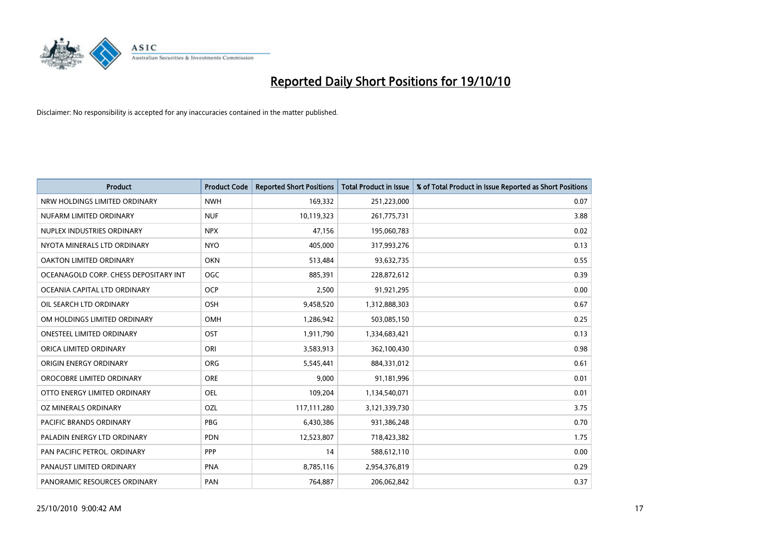

| <b>Product</b>                        | <b>Product Code</b> | <b>Reported Short Positions</b> | Total Product in Issue | % of Total Product in Issue Reported as Short Positions |
|---------------------------------------|---------------------|---------------------------------|------------------------|---------------------------------------------------------|
| NRW HOLDINGS LIMITED ORDINARY         | <b>NWH</b>          | 169,332                         | 251,223,000            | 0.07                                                    |
| NUFARM LIMITED ORDINARY               | <b>NUF</b>          | 10,119,323                      | 261,775,731            | 3.88                                                    |
| NUPLEX INDUSTRIES ORDINARY            | <b>NPX</b>          | 47.156                          | 195,060,783            | 0.02                                                    |
| NYOTA MINERALS LTD ORDINARY           | <b>NYO</b>          | 405,000                         | 317,993,276            | 0.13                                                    |
| <b>OAKTON LIMITED ORDINARY</b>        | <b>OKN</b>          | 513,484                         | 93,632,735             | 0.55                                                    |
| OCEANAGOLD CORP. CHESS DEPOSITARY INT | <b>OGC</b>          | 885,391                         | 228,872,612            | 0.39                                                    |
| OCEANIA CAPITAL LTD ORDINARY          | <b>OCP</b>          | 2,500                           | 91,921,295             | 0.00                                                    |
| OIL SEARCH LTD ORDINARY               | OSH                 | 9,458,520                       | 1,312,888,303          | 0.67                                                    |
| OM HOLDINGS LIMITED ORDINARY          | <b>OMH</b>          | 1,286,942                       | 503,085,150            | 0.25                                                    |
| <b>ONESTEEL LIMITED ORDINARY</b>      | <b>OST</b>          | 1,911,790                       | 1,334,683,421          | 0.13                                                    |
| ORICA LIMITED ORDINARY                | ORI                 | 3,583,913                       | 362,100,430            | 0.98                                                    |
| ORIGIN ENERGY ORDINARY                | <b>ORG</b>          | 5,545,441                       | 884,331,012            | 0.61                                                    |
| OROCOBRE LIMITED ORDINARY             | <b>ORE</b>          | 9,000                           | 91,181,996             | 0.01                                                    |
| OTTO ENERGY LIMITED ORDINARY          | <b>OEL</b>          | 109,204                         | 1,134,540,071          | 0.01                                                    |
| OZ MINERALS ORDINARY                  | <b>OZL</b>          | 117,111,280                     | 3,121,339,730          | 3.75                                                    |
| <b>PACIFIC BRANDS ORDINARY</b>        | <b>PBG</b>          | 6,430,386                       | 931,386,248            | 0.70                                                    |
| PALADIN ENERGY LTD ORDINARY           | <b>PDN</b>          | 12,523,807                      | 718,423,382            | 1.75                                                    |
| PAN PACIFIC PETROL. ORDINARY          | PPP                 | 14                              | 588,612,110            | 0.00                                                    |
| PANAUST LIMITED ORDINARY              | <b>PNA</b>          | 8,785,116                       | 2,954,376,819          | 0.29                                                    |
| PANORAMIC RESOURCES ORDINARY          | PAN                 | 764,887                         | 206,062,842            | 0.37                                                    |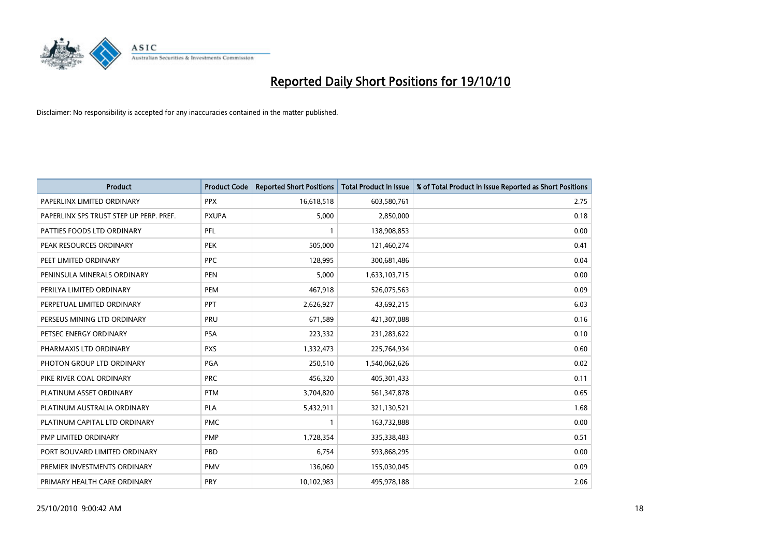

| <b>Product</b>                          | <b>Product Code</b> | <b>Reported Short Positions</b> | Total Product in Issue | % of Total Product in Issue Reported as Short Positions |
|-----------------------------------------|---------------------|---------------------------------|------------------------|---------------------------------------------------------|
| PAPERLINX LIMITED ORDINARY              | <b>PPX</b>          | 16,618,518                      | 603,580,761            | 2.75                                                    |
| PAPERLINX SPS TRUST STEP UP PERP. PREF. | <b>PXUPA</b>        | 5,000                           | 2,850,000              | 0.18                                                    |
| PATTIES FOODS LTD ORDINARY              | PFL                 |                                 | 138,908,853            | 0.00                                                    |
| PEAK RESOURCES ORDINARY                 | <b>PEK</b>          | 505,000                         | 121,460,274            | 0.41                                                    |
| PEET LIMITED ORDINARY                   | <b>PPC</b>          | 128,995                         | 300,681,486            | 0.04                                                    |
| PENINSULA MINERALS ORDINARY             | <b>PEN</b>          | 5,000                           | 1,633,103,715          | 0.00                                                    |
| PERILYA LIMITED ORDINARY                | PEM                 | 467,918                         | 526,075,563            | 0.09                                                    |
| PERPETUAL LIMITED ORDINARY              | PPT                 | 2,626,927                       | 43,692,215             | 6.03                                                    |
| PERSEUS MINING LTD ORDINARY             | PRU                 | 671,589                         | 421,307,088            | 0.16                                                    |
| PETSEC ENERGY ORDINARY                  | <b>PSA</b>          | 223,332                         | 231,283,622            | 0.10                                                    |
| PHARMAXIS LTD ORDINARY                  | <b>PXS</b>          | 1,332,473                       | 225,764,934            | 0.60                                                    |
| PHOTON GROUP LTD ORDINARY               | PGA                 | 250,510                         | 1,540,062,626          | 0.02                                                    |
| PIKE RIVER COAL ORDINARY                | <b>PRC</b>          | 456,320                         | 405,301,433            | 0.11                                                    |
| PLATINUM ASSET ORDINARY                 | <b>PTM</b>          | 3,704,820                       | 561,347,878            | 0.65                                                    |
| PLATINUM AUSTRALIA ORDINARY             | <b>PLA</b>          | 5,432,911                       | 321,130,521            | 1.68                                                    |
| PLATINUM CAPITAL LTD ORDINARY           | <b>PMC</b>          |                                 | 163,732,888            | 0.00                                                    |
| PMP LIMITED ORDINARY                    | <b>PMP</b>          | 1,728,354                       | 335,338,483            | 0.51                                                    |
| PORT BOUVARD LIMITED ORDINARY           | PBD                 | 6,754                           | 593,868,295            | 0.00                                                    |
| PREMIER INVESTMENTS ORDINARY            | <b>PMV</b>          | 136,060                         | 155,030,045            | 0.09                                                    |
| PRIMARY HEALTH CARE ORDINARY            | <b>PRY</b>          | 10,102,983                      | 495,978,188            | 2.06                                                    |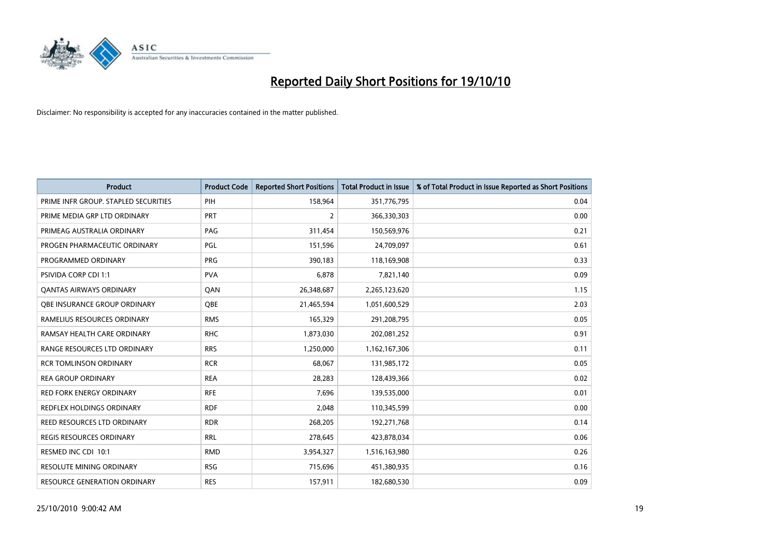

| <b>Product</b>                       | <b>Product Code</b> | <b>Reported Short Positions</b> | <b>Total Product in Issue</b> | % of Total Product in Issue Reported as Short Positions |
|--------------------------------------|---------------------|---------------------------------|-------------------------------|---------------------------------------------------------|
| PRIME INFR GROUP. STAPLED SECURITIES | PIH                 | 158,964                         | 351,776,795                   | 0.04                                                    |
| PRIME MEDIA GRP LTD ORDINARY         | <b>PRT</b>          | 2                               | 366,330,303                   | 0.00                                                    |
| PRIMEAG AUSTRALIA ORDINARY           | PAG                 | 311,454                         | 150,569,976                   | 0.21                                                    |
| PROGEN PHARMACEUTIC ORDINARY         | PGL                 | 151,596                         | 24,709,097                    | 0.61                                                    |
| PROGRAMMED ORDINARY                  | <b>PRG</b>          | 390,183                         | 118,169,908                   | 0.33                                                    |
| PSIVIDA CORP CDI 1:1                 | <b>PVA</b>          | 6,878                           | 7,821,140                     | 0.09                                                    |
| <b>QANTAS AIRWAYS ORDINARY</b>       | QAN                 | 26,348,687                      | 2,265,123,620                 | 1.15                                                    |
| OBE INSURANCE GROUP ORDINARY         | OBE                 | 21,465,594                      | 1,051,600,529                 | 2.03                                                    |
| RAMELIUS RESOURCES ORDINARY          | <b>RMS</b>          | 165,329                         | 291,208,795                   | 0.05                                                    |
| RAMSAY HEALTH CARE ORDINARY          | <b>RHC</b>          | 1,873,030                       | 202,081,252                   | 0.91                                                    |
| RANGE RESOURCES LTD ORDINARY         | <b>RRS</b>          | 1,250,000                       | 1,162,167,306                 | 0.11                                                    |
| <b>RCR TOMLINSON ORDINARY</b>        | <b>RCR</b>          | 68,067                          | 131,985,172                   | 0.05                                                    |
| <b>REA GROUP ORDINARY</b>            | <b>REA</b>          | 28,283                          | 128,439,366                   | 0.02                                                    |
| <b>RED FORK ENERGY ORDINARY</b>      | <b>RFE</b>          | 7,696                           | 139,535,000                   | 0.01                                                    |
| <b>REDFLEX HOLDINGS ORDINARY</b>     | <b>RDF</b>          | 2,048                           | 110,345,599                   | 0.00                                                    |
| REED RESOURCES LTD ORDINARY          | <b>RDR</b>          | 268,205                         | 192,271,768                   | 0.14                                                    |
| REGIS RESOURCES ORDINARY             | <b>RRL</b>          | 278,645                         | 423,878,034                   | 0.06                                                    |
| RESMED INC CDI 10:1                  | <b>RMD</b>          | 3,954,327                       | 1,516,163,980                 | 0.26                                                    |
| <b>RESOLUTE MINING ORDINARY</b>      | <b>RSG</b>          | 715,696                         | 451,380,935                   | 0.16                                                    |
| <b>RESOURCE GENERATION ORDINARY</b>  | <b>RES</b>          | 157,911                         | 182,680,530                   | 0.09                                                    |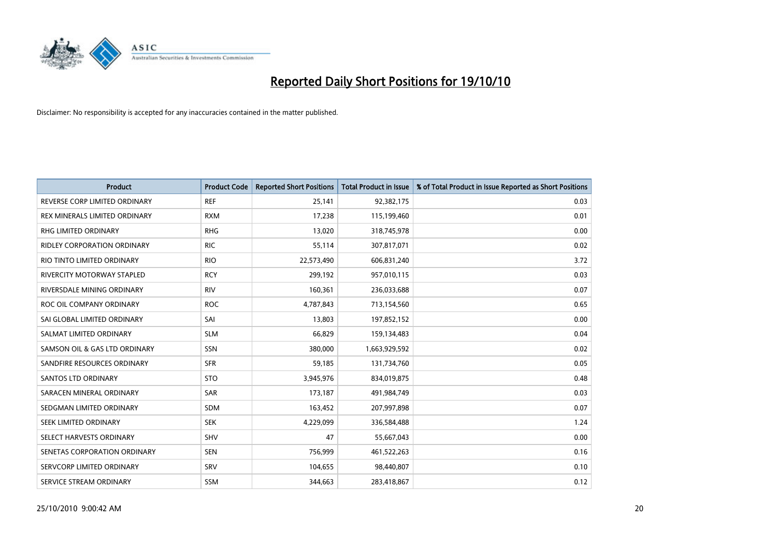

| <b>Product</b>                     | <b>Product Code</b> | <b>Reported Short Positions</b> | <b>Total Product in Issue</b> | % of Total Product in Issue Reported as Short Positions |
|------------------------------------|---------------------|---------------------------------|-------------------------------|---------------------------------------------------------|
| REVERSE CORP LIMITED ORDINARY      | <b>REF</b>          | 25,141                          | 92,382,175                    | 0.03                                                    |
| REX MINERALS LIMITED ORDINARY      | <b>RXM</b>          | 17,238                          | 115,199,460                   | 0.01                                                    |
| <b>RHG LIMITED ORDINARY</b>        | <b>RHG</b>          | 13,020                          | 318,745,978                   | 0.00                                                    |
| <b>RIDLEY CORPORATION ORDINARY</b> | <b>RIC</b>          | 55,114                          | 307,817,071                   | 0.02                                                    |
| RIO TINTO LIMITED ORDINARY         | <b>RIO</b>          | 22,573,490                      | 606,831,240                   | 3.72                                                    |
| <b>RIVERCITY MOTORWAY STAPLED</b>  | <b>RCY</b>          | 299,192                         | 957,010,115                   | 0.03                                                    |
| RIVERSDALE MINING ORDINARY         | <b>RIV</b>          | 160,361                         | 236,033,688                   | 0.07                                                    |
| ROC OIL COMPANY ORDINARY           | <b>ROC</b>          | 4,787,843                       | 713,154,560                   | 0.65                                                    |
| SAI GLOBAL LIMITED ORDINARY        | SAI                 | 13,803                          | 197,852,152                   | 0.00                                                    |
| SALMAT LIMITED ORDINARY            | <b>SLM</b>          | 66,829                          | 159,134,483                   | 0.04                                                    |
| SAMSON OIL & GAS LTD ORDINARY      | <b>SSN</b>          | 380,000                         | 1,663,929,592                 | 0.02                                                    |
| SANDFIRE RESOURCES ORDINARY        | <b>SFR</b>          | 59,185                          | 131,734,760                   | 0.05                                                    |
| <b>SANTOS LTD ORDINARY</b>         | <b>STO</b>          | 3,945,976                       | 834,019,875                   | 0.48                                                    |
| SARACEN MINERAL ORDINARY           | SAR                 | 173,187                         | 491,984,749                   | 0.03                                                    |
| SEDGMAN LIMITED ORDINARY           | <b>SDM</b>          | 163,452                         | 207,997,898                   | 0.07                                                    |
| SEEK LIMITED ORDINARY              | <b>SEK</b>          | 4,229,099                       | 336,584,488                   | 1.24                                                    |
| SELECT HARVESTS ORDINARY           | <b>SHV</b>          | 47                              | 55,667,043                    | 0.00                                                    |
| SENETAS CORPORATION ORDINARY       | <b>SEN</b>          | 756,999                         | 461,522,263                   | 0.16                                                    |
| SERVCORP LIMITED ORDINARY          | SRV                 | 104,655                         | 98,440,807                    | 0.10                                                    |
| SERVICE STREAM ORDINARY            | <b>SSM</b>          | 344,663                         | 283,418,867                   | 0.12                                                    |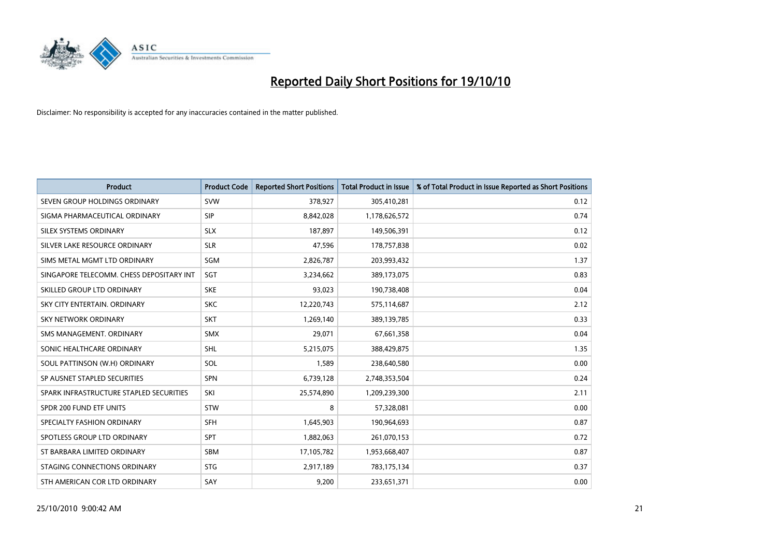

| <b>Product</b>                           | <b>Product Code</b> | <b>Reported Short Positions</b> | <b>Total Product in Issue</b> | % of Total Product in Issue Reported as Short Positions |
|------------------------------------------|---------------------|---------------------------------|-------------------------------|---------------------------------------------------------|
| SEVEN GROUP HOLDINGS ORDINARY            | <b>SVW</b>          | 378,927                         | 305,410,281                   | 0.12                                                    |
| SIGMA PHARMACEUTICAL ORDINARY            | <b>SIP</b>          | 8,842,028                       | 1,178,626,572                 | 0.74                                                    |
| SILEX SYSTEMS ORDINARY                   | <b>SLX</b>          | 187.897                         | 149,506,391                   | 0.12                                                    |
| SILVER LAKE RESOURCE ORDINARY            | <b>SLR</b>          | 47,596                          | 178,757,838                   | 0.02                                                    |
| SIMS METAL MGMT LTD ORDINARY             | SGM                 | 2,826,787                       | 203,993,432                   | 1.37                                                    |
| SINGAPORE TELECOMM. CHESS DEPOSITARY INT | SGT                 | 3,234,662                       | 389,173,075                   | 0.83                                                    |
| SKILLED GROUP LTD ORDINARY               | <b>SKE</b>          | 93,023                          | 190,738,408                   | 0.04                                                    |
| SKY CITY ENTERTAIN, ORDINARY             | <b>SKC</b>          | 12,220,743                      | 575,114,687                   | 2.12                                                    |
| <b>SKY NETWORK ORDINARY</b>              | <b>SKT</b>          | 1,269,140                       | 389,139,785                   | 0.33                                                    |
| SMS MANAGEMENT, ORDINARY                 | <b>SMX</b>          | 29,071                          | 67,661,358                    | 0.04                                                    |
| SONIC HEALTHCARE ORDINARY                | SHL                 | 5,215,075                       | 388,429,875                   | 1.35                                                    |
| SOUL PATTINSON (W.H) ORDINARY            | SOL                 | 1,589                           | 238,640,580                   | 0.00                                                    |
| SP AUSNET STAPLED SECURITIES             | <b>SPN</b>          | 6,739,128                       | 2,748,353,504                 | 0.24                                                    |
| SPARK INFRASTRUCTURE STAPLED SECURITIES  | SKI                 | 25,574,890                      | 1,209,239,300                 | 2.11                                                    |
| SPDR 200 FUND ETF UNITS                  | STW                 | 8                               | 57,328,081                    | 0.00                                                    |
| SPECIALTY FASHION ORDINARY               | <b>SFH</b>          | 1,645,903                       | 190,964,693                   | 0.87                                                    |
| SPOTLESS GROUP LTD ORDINARY              | <b>SPT</b>          | 1,882,063                       | 261,070,153                   | 0.72                                                    |
| ST BARBARA LIMITED ORDINARY              | <b>SBM</b>          | 17,105,782                      | 1,953,668,407                 | 0.87                                                    |
| STAGING CONNECTIONS ORDINARY             | <b>STG</b>          | 2,917,189                       | 783,175,134                   | 0.37                                                    |
| STH AMERICAN COR LTD ORDINARY            | SAY                 | 9,200                           | 233,651,371                   | 0.00                                                    |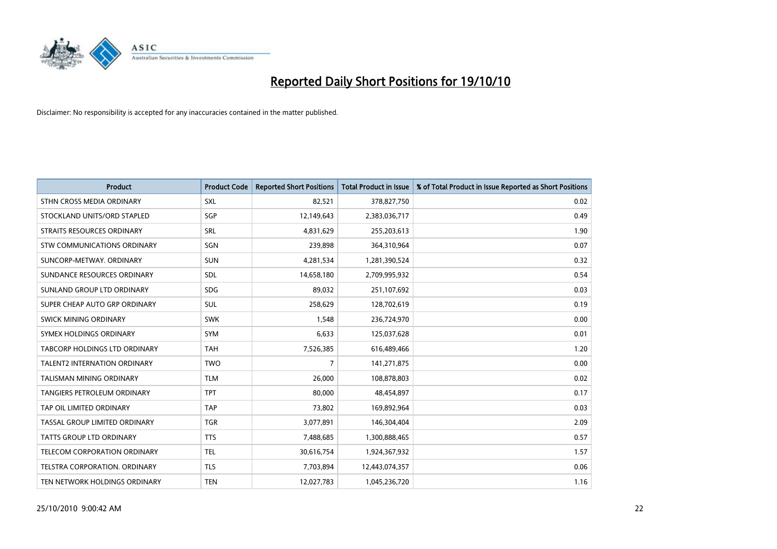

| <b>Product</b>                      | <b>Product Code</b> | <b>Reported Short Positions</b> | <b>Total Product in Issue</b> | % of Total Product in Issue Reported as Short Positions |
|-------------------------------------|---------------------|---------------------------------|-------------------------------|---------------------------------------------------------|
| STHN CROSS MEDIA ORDINARY           | <b>SXL</b>          | 82,521                          | 378,827,750                   | 0.02                                                    |
| STOCKLAND UNITS/ORD STAPLED         | SGP                 | 12,149,643                      | 2,383,036,717                 | 0.49                                                    |
| <b>STRAITS RESOURCES ORDINARY</b>   | <b>SRL</b>          | 4,831,629                       | 255,203,613                   | 1.90                                                    |
| STW COMMUNICATIONS ORDINARY         | SGN                 | 239,898                         | 364,310,964                   | 0.07                                                    |
| SUNCORP-METWAY, ORDINARY            | <b>SUN</b>          | 4,281,534                       | 1,281,390,524                 | 0.32                                                    |
| SUNDANCE RESOURCES ORDINARY         | SDL                 | 14,658,180                      | 2,709,995,932                 | 0.54                                                    |
| SUNLAND GROUP LTD ORDINARY          | <b>SDG</b>          | 89,032                          | 251,107,692                   | 0.03                                                    |
| SUPER CHEAP AUTO GRP ORDINARY       | <b>SUL</b>          | 258,629                         | 128,702,619                   | 0.19                                                    |
| <b>SWICK MINING ORDINARY</b>        | <b>SWK</b>          | 1,548                           | 236,724,970                   | 0.00                                                    |
| SYMEX HOLDINGS ORDINARY             | <b>SYM</b>          | 6,633                           | 125,037,628                   | 0.01                                                    |
| TABCORP HOLDINGS LTD ORDINARY       | <b>TAH</b>          | 7,526,385                       | 616,489,466                   | 1.20                                                    |
| <b>TALENT2 INTERNATION ORDINARY</b> | <b>TWO</b>          | 7                               | 141,271,875                   | 0.00                                                    |
| <b>TALISMAN MINING ORDINARY</b>     | <b>TLM</b>          | 26,000                          | 108,878,803                   | 0.02                                                    |
| <b>TANGIERS PETROLEUM ORDINARY</b>  | <b>TPT</b>          | 80,000                          | 48,454,897                    | 0.17                                                    |
| TAP OIL LIMITED ORDINARY            | <b>TAP</b>          | 73,802                          | 169,892,964                   | 0.03                                                    |
| TASSAL GROUP LIMITED ORDINARY       | <b>TGR</b>          | 3,077,891                       | 146,304,404                   | 2.09                                                    |
| TATTS GROUP LTD ORDINARY            | <b>TTS</b>          | 7,488,685                       | 1,300,888,465                 | 0.57                                                    |
| TELECOM CORPORATION ORDINARY        | <b>TEL</b>          | 30,616,754                      | 1,924,367,932                 | 1.57                                                    |
| TELSTRA CORPORATION, ORDINARY       | <b>TLS</b>          | 7,703,894                       | 12,443,074,357                | 0.06                                                    |
| TEN NETWORK HOLDINGS ORDINARY       | <b>TEN</b>          | 12,027,783                      | 1,045,236,720                 | 1.16                                                    |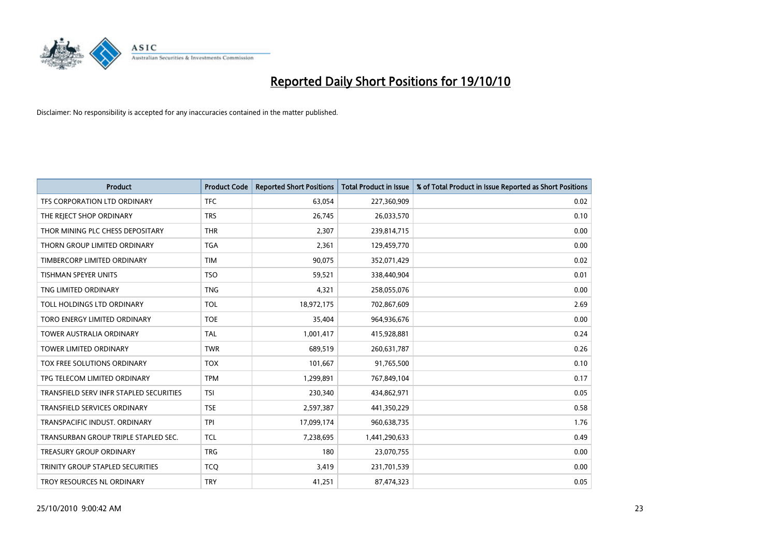

| <b>Product</b>                          | <b>Product Code</b> | <b>Reported Short Positions</b> | <b>Total Product in Issue</b> | % of Total Product in Issue Reported as Short Positions |
|-----------------------------------------|---------------------|---------------------------------|-------------------------------|---------------------------------------------------------|
| TFS CORPORATION LTD ORDINARY            | <b>TFC</b>          | 63,054                          | 227,360,909                   | 0.02                                                    |
| THE REJECT SHOP ORDINARY                | <b>TRS</b>          | 26,745                          | 26,033,570                    | 0.10                                                    |
| THOR MINING PLC CHESS DEPOSITARY        | <b>THR</b>          | 2,307                           | 239,814,715                   | 0.00                                                    |
| THORN GROUP LIMITED ORDINARY            | <b>TGA</b>          | 2,361                           | 129,459,770                   | 0.00                                                    |
| TIMBERCORP LIMITED ORDINARY             | <b>TIM</b>          | 90,075                          | 352,071,429                   | 0.02                                                    |
| TISHMAN SPEYER UNITS                    | <b>TSO</b>          | 59,521                          | 338,440,904                   | 0.01                                                    |
| TNG LIMITED ORDINARY                    | <b>TNG</b>          | 4,321                           | 258,055,076                   | 0.00                                                    |
| TOLL HOLDINGS LTD ORDINARY              | <b>TOL</b>          | 18,972,175                      | 702,867,609                   | 2.69                                                    |
| TORO ENERGY LIMITED ORDINARY            | <b>TOE</b>          | 35,404                          | 964,936,676                   | 0.00                                                    |
| <b>TOWER AUSTRALIA ORDINARY</b>         | <b>TAL</b>          | 1,001,417                       | 415,928,881                   | 0.24                                                    |
| TOWER LIMITED ORDINARY                  | <b>TWR</b>          | 689,519                         | 260,631,787                   | 0.26                                                    |
| TOX FREE SOLUTIONS ORDINARY             | <b>TOX</b>          | 101,667                         | 91,765,500                    | 0.10                                                    |
| TPG TELECOM LIMITED ORDINARY            | <b>TPM</b>          | 1,299,891                       | 767,849,104                   | 0.17                                                    |
| TRANSFIELD SERV INFR STAPLED SECURITIES | <b>TSI</b>          | 230,340                         | 434,862,971                   | 0.05                                                    |
| <b>TRANSFIELD SERVICES ORDINARY</b>     | <b>TSE</b>          | 2,597,387                       | 441,350,229                   | 0.58                                                    |
| TRANSPACIFIC INDUST, ORDINARY           | <b>TPI</b>          | 17,099,174                      | 960,638,735                   | 1.76                                                    |
| TRANSURBAN GROUP TRIPLE STAPLED SEC.    | <b>TCL</b>          | 7,238,695                       | 1,441,290,633                 | 0.49                                                    |
| <b>TREASURY GROUP ORDINARY</b>          | <b>TRG</b>          | 180                             | 23,070,755                    | 0.00                                                    |
| TRINITY GROUP STAPLED SECURITIES        | <b>TCO</b>          | 3,419                           | 231,701,539                   | 0.00                                                    |
| TROY RESOURCES NL ORDINARY              | <b>TRY</b>          | 41,251                          | 87,474,323                    | 0.05                                                    |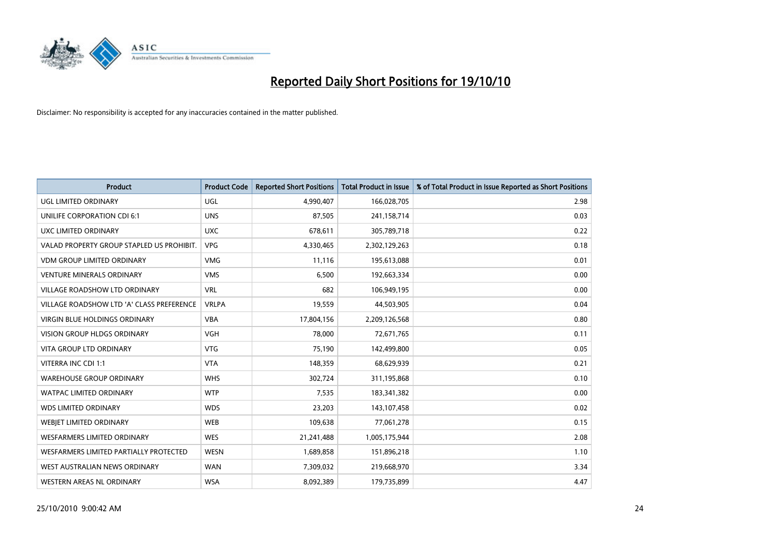

| <b>Product</b>                            | <b>Product Code</b> | <b>Reported Short Positions</b> | <b>Total Product in Issue</b> | % of Total Product in Issue Reported as Short Positions |
|-------------------------------------------|---------------------|---------------------------------|-------------------------------|---------------------------------------------------------|
| <b>UGL LIMITED ORDINARY</b>               | UGL                 | 4,990,407                       | 166,028,705                   | 2.98                                                    |
| UNILIFE CORPORATION CDI 6:1               | <b>UNS</b>          | 87,505                          | 241,158,714                   | 0.03                                                    |
| UXC LIMITED ORDINARY                      | <b>UXC</b>          | 678.611                         | 305,789,718                   | 0.22                                                    |
| VALAD PROPERTY GROUP STAPLED US PROHIBIT. | <b>VPG</b>          | 4,330,465                       | 2,302,129,263                 | 0.18                                                    |
| <b>VDM GROUP LIMITED ORDINARY</b>         | <b>VMG</b>          | 11,116                          | 195,613,088                   | 0.01                                                    |
| <b>VENTURE MINERALS ORDINARY</b>          | <b>VMS</b>          | 6,500                           | 192,663,334                   | 0.00                                                    |
| VILLAGE ROADSHOW LTD ORDINARY             | <b>VRL</b>          | 682                             | 106,949,195                   | 0.00                                                    |
| VILLAGE ROADSHOW LTD 'A' CLASS PREFERENCE | <b>VRLPA</b>        | 19,559                          | 44,503,905                    | 0.04                                                    |
| <b>VIRGIN BLUE HOLDINGS ORDINARY</b>      | <b>VBA</b>          | 17,804,156                      | 2,209,126,568                 | 0.80                                                    |
| <b>VISION GROUP HLDGS ORDINARY</b>        | <b>VGH</b>          | 78,000                          | 72,671,765                    | 0.11                                                    |
| VITA GROUP LTD ORDINARY                   | <b>VTG</b>          | 75,190                          | 142,499,800                   | 0.05                                                    |
| VITERRA INC CDI 1:1                       | <b>VTA</b>          | 148,359                         | 68,629,939                    | 0.21                                                    |
| <b>WAREHOUSE GROUP ORDINARY</b>           | <b>WHS</b>          | 302,724                         | 311,195,868                   | 0.10                                                    |
| <b>WATPAC LIMITED ORDINARY</b>            | <b>WTP</b>          | 7,535                           | 183,341,382                   | 0.00                                                    |
| <b>WDS LIMITED ORDINARY</b>               | <b>WDS</b>          | 23,203                          | 143,107,458                   | 0.02                                                    |
| <b>WEBJET LIMITED ORDINARY</b>            | <b>WEB</b>          | 109,638                         | 77,061,278                    | 0.15                                                    |
| WESFARMERS LIMITED ORDINARY               | <b>WES</b>          | 21,241,488                      | 1,005,175,944                 | 2.08                                                    |
| WESFARMERS LIMITED PARTIALLY PROTECTED    | <b>WESN</b>         | 1,689,858                       | 151,896,218                   | 1.10                                                    |
| WEST AUSTRALIAN NEWS ORDINARY             | <b>WAN</b>          | 7,309,032                       | 219,668,970                   | 3.34                                                    |
| WESTERN AREAS NL ORDINARY                 | <b>WSA</b>          | 8,092,389                       | 179,735,899                   | 4.47                                                    |